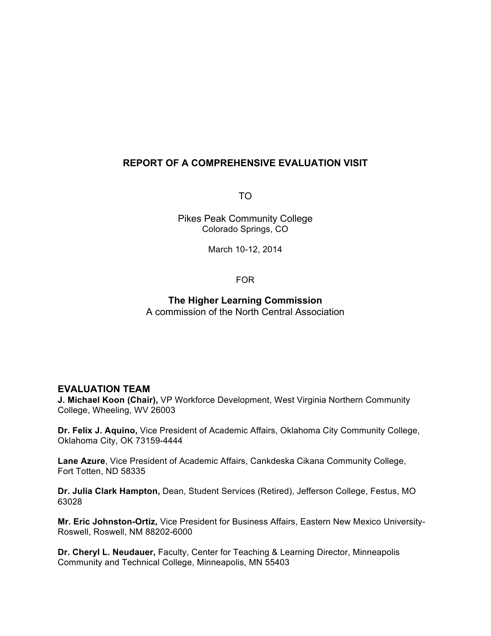# **REPORT OF A COMPREHENSIVE EVALUATION VISIT**

TO

Pikes Peak Community College Colorado Springs, CO

March 10-12, 2014

FOR

**The Higher Learning Commission** A commission of the North Central Association

### **EVALUATION TEAM**

**J. Michael Koon (Chair),** VP Workforce Development, West Virginia Northern Community College, Wheeling, WV 26003

**Dr. Felix J. Aquino,** Vice President of Academic Affairs, Oklahoma City Community College, Oklahoma City, OK 73159-4444

**Lane Azure**, Vice President of Academic Affairs, Cankdeska Cikana Community College, Fort Totten, ND 58335

**Dr. Julia Clark Hampton,** Dean, Student Services (Retired), Jefferson College, Festus, MO 63028

**Mr. Eric Johnston-Ortiz,** Vice President for Business Affairs, Eastern New Mexico University-Roswell, Roswell, NM 88202-6000

**Dr. Cheryl L. Neudauer,** Faculty, Center for Teaching & Learning Director, Minneapolis Community and Technical College, Minneapolis, MN 55403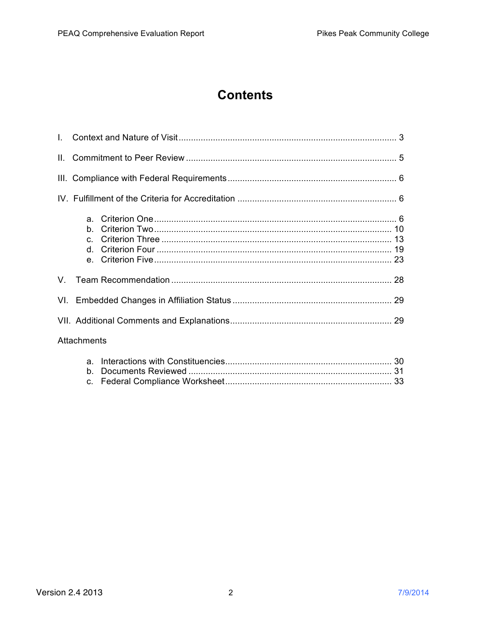# **Contents**

| Attachments |  |  |
|-------------|--|--|
|             |  |  |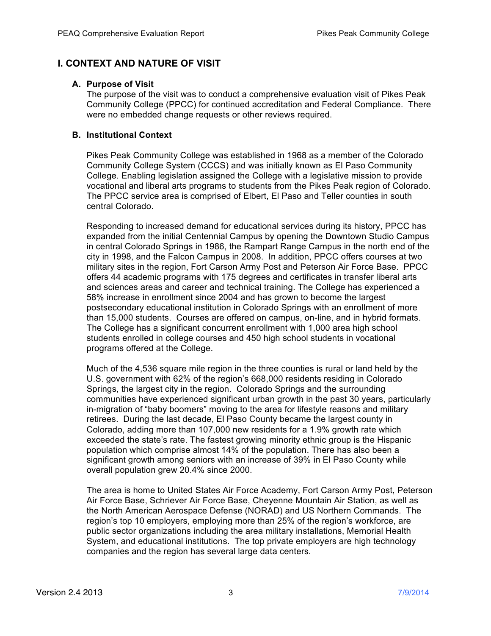# **I. CONTEXT AND NATURE OF VISIT**

### **A. Purpose of Visit**

The purpose of the visit was to conduct a comprehensive evaluation visit of Pikes Peak Community College (PPCC) for continued accreditation and Federal Compliance. There were no embedded change requests or other reviews required.

### **B. Institutional Context**

Pikes Peak Community College was established in 1968 as a member of the Colorado Community College System (CCCS) and was initially known as El Paso Community College. Enabling legislation assigned the College with a legislative mission to provide vocational and liberal arts programs to students from the Pikes Peak region of Colorado. The PPCC service area is comprised of Elbert, El Paso and Teller counties in south central Colorado.

Responding to increased demand for educational services during its history, PPCC has expanded from the initial Centennial Campus by opening the Downtown Studio Campus in central Colorado Springs in 1986, the Rampart Range Campus in the north end of the city in 1998, and the Falcon Campus in 2008. In addition, PPCC offers courses at two military sites in the region, Fort Carson Army Post and Peterson Air Force Base. PPCC offers 44 academic programs with 175 degrees and certificates in transfer liberal arts and sciences areas and career and technical training. The College has experienced a 58% increase in enrollment since 2004 and has grown to become the largest postsecondary educational institution in Colorado Springs with an enrollment of more than 15,000 students. Courses are offered on campus, on-line, and in hybrid formats. The College has a significant concurrent enrollment with 1,000 area high school students enrolled in college courses and 450 high school students in vocational programs offered at the College.

Much of the 4,536 square mile region in the three counties is rural or land held by the U.S. government with 62% of the region's 668,000 residents residing in Colorado Springs, the largest city in the region. Colorado Springs and the surrounding communities have experienced significant urban growth in the past 30 years, particularly in-migration of "baby boomers" moving to the area for lifestyle reasons and military retirees. During the last decade, El Paso County became the largest county in Colorado, adding more than 107,000 new residents for a 1.9% growth rate which exceeded the state's rate. The fastest growing minority ethnic group is the Hispanic population which comprise almost 14% of the population. There has also been a significant growth among seniors with an increase of 39% in El Paso County while overall population grew 20.4% since 2000.

The area is home to United States Air Force Academy, Fort Carson Army Post, Peterson Air Force Base, Schriever Air Force Base, Cheyenne Mountain Air Station, as well as the North American Aerospace Defense (NORAD) and US Northern Commands. The region's top 10 employers, employing more than 25% of the region's workforce, are public sector organizations including the area military installations, Memorial Health System, and educational institutions. The top private employers are high technology companies and the region has several large data centers.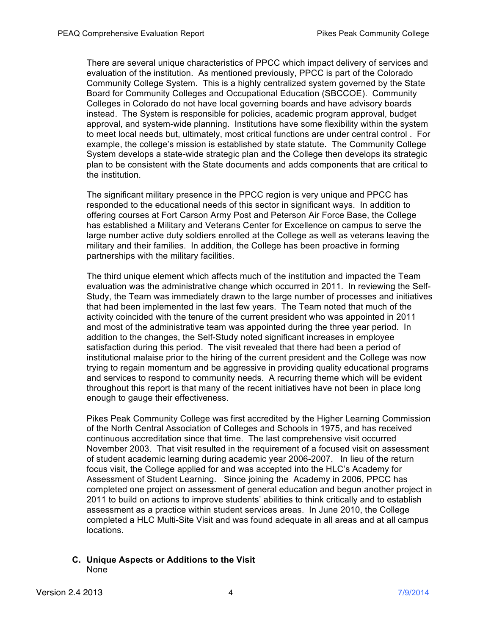There are several unique characteristics of PPCC which impact delivery of services and evaluation of the institution. As mentioned previously, PPCC is part of the Colorado Community College System. This is a highly centralized system governed by the State Board for Community Colleges and Occupational Education (SBCCOE). Community Colleges in Colorado do not have local governing boards and have advisory boards instead. The System is responsible for policies, academic program approval, budget approval, and system-wide planning. Institutions have some flexibility within the system to meet local needs but, ultimately, most critical functions are under central control . For example, the college's mission is established by state statute. The Community College System develops a state-wide strategic plan and the College then develops its strategic plan to be consistent with the State documents and adds components that are critical to the institution.

The significant military presence in the PPCC region is very unique and PPCC has responded to the educational needs of this sector in significant ways. In addition to offering courses at Fort Carson Army Post and Peterson Air Force Base, the College has established a Military and Veterans Center for Excellence on campus to serve the large number active duty soldiers enrolled at the College as well as veterans leaving the military and their families. In addition, the College has been proactive in forming partnerships with the military facilities.

The third unique element which affects much of the institution and impacted the Team evaluation was the administrative change which occurred in 2011. In reviewing the Self-Study, the Team was immediately drawn to the large number of processes and initiatives that had been implemented in the last few years. The Team noted that much of the activity coincided with the tenure of the current president who was appointed in 2011 and most of the administrative team was appointed during the three year period. In addition to the changes, the Self-Study noted significant increases in employee satisfaction during this period. The visit revealed that there had been a period of institutional malaise prior to the hiring of the current president and the College was now trying to regain momentum and be aggressive in providing quality educational programs and services to respond to community needs. A recurring theme which will be evident throughout this report is that many of the recent initiatives have not been in place long enough to gauge their effectiveness.

Pikes Peak Community College was first accredited by the Higher Learning Commission of the North Central Association of Colleges and Schools in 1975, and has received continuous accreditation since that time. The last comprehensive visit occurred November 2003. That visit resulted in the requirement of a focused visit on assessment of student academic learning during academic year 2006-2007. In lieu of the return focus visit, the College applied for and was accepted into the HLC's Academy for Assessment of Student Learning. Since joining the Academy in 2006, PPCC has completed one project on assessment of general education and begun another project in 2011 to build on actions to improve students' abilities to think critically and to establish assessment as a practice within student services areas. In June 2010, the College completed a HLC Multi-Site Visit and was found adequate in all areas and at all campus locations.

**C. Unique Aspects or Additions to the Visit** None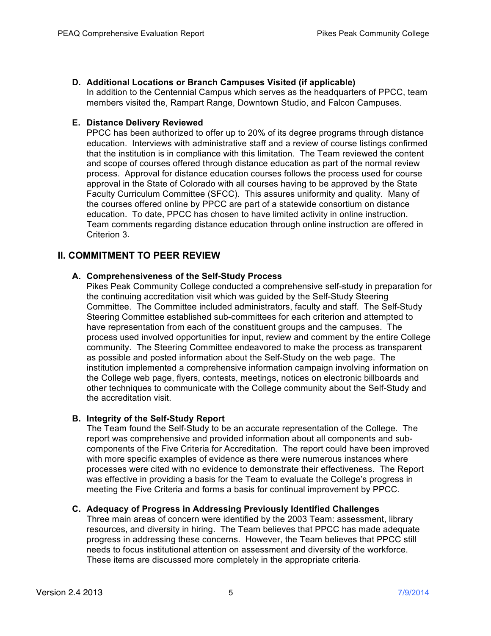# **D. Additional Locations or Branch Campuses Visited (if applicable)**

In addition to the Centennial Campus which serves as the headquarters of PPCC, team members visited the, Rampart Range, Downtown Studio, and Falcon Campuses.

# **E. Distance Delivery Reviewed**

PPCC has been authorized to offer up to 20% of its degree programs through distance education. Interviews with administrative staff and a review of course listings confirmed that the institution is in compliance with this limitation. The Team reviewed the content and scope of courses offered through distance education as part of the normal review process. Approval for distance education courses follows the process used for course approval in the State of Colorado with all courses having to be approved by the State Faculty Curriculum Committee (SFCC). This assures uniformity and quality. Many of the courses offered online by PPCC are part of a statewide consortium on distance education. To date, PPCC has chosen to have limited activity in online instruction. Team comments regarding distance education through online instruction are offered in Criterion 3.

# **II. COMMITMENT TO PEER REVIEW**

# **A. Comprehensiveness of the Self-Study Process**

Pikes Peak Community College conducted a comprehensive self-study in preparation for the continuing accreditation visit which was guided by the Self-Study Steering Committee. The Committee included administrators, faculty and staff. The Self-Study Steering Committee established sub-committees for each criterion and attempted to have representation from each of the constituent groups and the campuses. The process used involved opportunities for input, review and comment by the entire College community. The Steering Committee endeavored to make the process as transparent as possible and posted information about the Self-Study on the web page. The institution implemented a comprehensive information campaign involving information on the College web page, flyers, contests, meetings, notices on electronic billboards and other techniques to communicate with the College community about the Self-Study and the accreditation visit.

# **B. Integrity of the Self-Study Report**

The Team found the Self-Study to be an accurate representation of the College. The report was comprehensive and provided information about all components and subcomponents of the Five Criteria for Accreditation. The report could have been improved with more specific examples of evidence as there were numerous instances where processes were cited with no evidence to demonstrate their effectiveness. The Report was effective in providing a basis for the Team to evaluate the College's progress in meeting the Five Criteria and forms a basis for continual improvement by PPCC.

# **C. Adequacy of Progress in Addressing Previously Identified Challenges**

Three main areas of concern were identified by the 2003 Team: assessment, library resources, and diversity in hiring. The Team believes that PPCC has made adequate progress in addressing these concerns. However, the Team believes that PPCC still needs to focus institutional attention on assessment and diversity of the workforce. These items are discussed more completely in the appropriate criteria.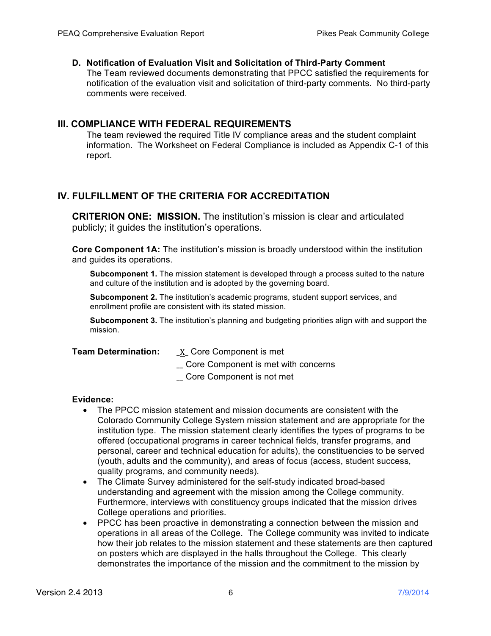# **D. Notification of Evaluation Visit and Solicitation of Third-Party Comment**

The Team reviewed documents demonstrating that PPCC satisfied the requirements for notification of the evaluation visit and solicitation of third-party comments. No third-party comments were received.

# **III. COMPLIANCE WITH FEDERAL REQUIREMENTS**

The team reviewed the required Title IV compliance areas and the student complaint information. The Worksheet on Federal Compliance is included as Appendix C-1 of this report.

# **IV. FULFILLMENT OF THE CRITERIA FOR ACCREDITATION**

**CRITERION ONE: MISSION.** The institution's mission is clear and articulated publicly; it guides the institution's operations.

**Core Component 1A:** The institution's mission is broadly understood within the institution and guides its operations.

**Subcomponent 1.** The mission statement is developed through a process suited to the nature and culture of the institution and is adopted by the governing board.

**Subcomponent 2.** The institution's academic programs, student support services, and enrollment profile are consistent with its stated mission.

**Subcomponent 3.** The institution's planning and budgeting priorities align with and support the mission.

**Team Determination:** \_X\_ Core Component is met

\_\_ Core Component is met with concerns

\_\_ Core Component is not met

- The PPCC mission statement and mission documents are consistent with the Colorado Community College System mission statement and are appropriate for the institution type. The mission statement clearly identifies the types of programs to be offered (occupational programs in career technical fields, transfer programs, and personal, career and technical education for adults), the constituencies to be served (youth, adults and the community), and areas of focus (access, student success, quality programs, and community needs).
- The Climate Survey administered for the self-study indicated broad-based understanding and agreement with the mission among the College community. Furthermore, interviews with constituency groups indicated that the mission drives College operations and priorities.
- PPCC has been proactive in demonstrating a connection between the mission and operations in all areas of the College. The College community was invited to indicate how their job relates to the mission statement and these statements are then captured on posters which are displayed in the halls throughout the College. This clearly demonstrates the importance of the mission and the commitment to the mission by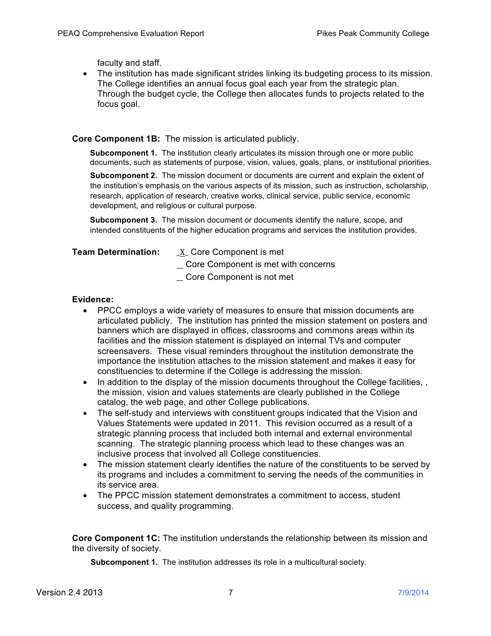faculty and staff.

• The institution has made significant strides linking its budgeting process to its mission. The College identifies an annual focus goal each year from the strategic plan. Through the budget cycle, the College then allocates funds to projects related to the focus goal.

### **Core Component 1B:** The mission is articulated publicly.

**Subcomponent 1.** The institution clearly articulates its mission through one or more public documents, such as statements of purpose, vision, values, goals, plans, or institutional priorities.

**Subcomponent 2.** The mission document or documents are current and explain the extent of the institution's emphasis on the various aspects of its mission, such as instruction, scholarship, research, application of research, creative works, clinical service, public service, economic development, and religious or cultural purpose.

**Subcomponent 3.** The mission document or documents identify the nature, scope, and intended constituents of the higher education programs and services the institution provides.

**Team Determination:** \_X\_ Core Component is met

\_\_ Core Component is met with concerns

\_\_ Core Component is not met

### **Evidence:**

- PPCC employs a wide variety of measures to ensure that mission documents are articulated publicly. The institution has printed the mission statement on posters and banners which are displayed in offices, classrooms and commons areas within its facilities and the mission statement is displayed on internal TVs and computer screensavers. These visual reminders throughout the institution demonstrate the importance the institution attaches to the mission statement and makes it easy for constituencies to determine if the College is addressing the mission.
- In addition to the display of the mission documents throughout the College facilities, the mission, vision and values statements are clearly published in the College catalog, the web page, and other College publications.
- The self-study and interviews with constituent groups indicated that the Vision and Values Statements were updated in 2011. This revision occurred as a result of a strategic planning process that included both internal and external environmental scanning. The strategic planning process which lead to these changes was an inclusive process that involved all College constituencies.
- The mission statement clearly identifies the nature of the constituents to be served by its programs and includes a commitment to serving the needs of the communities in its service area.
- The PPCC mission statement demonstrates a commitment to access, student success, and quality programming.

**Core Component 1C:** The institution understands the relationship between its mission and the diversity of society.

**Subcomponent 1.** The institution addresses its role in a multicultural society.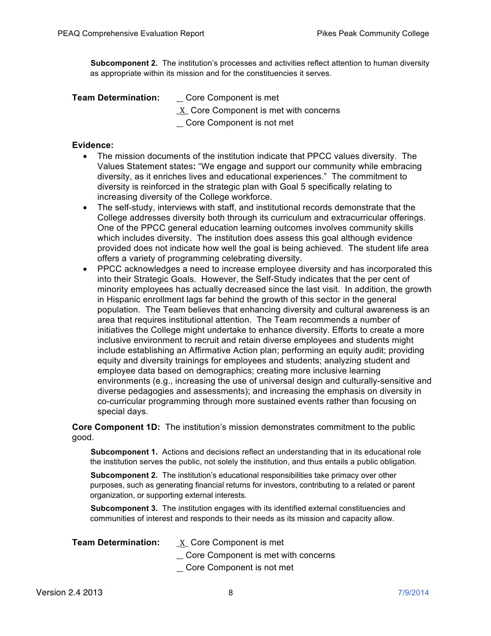**Subcomponent 2.** The institution's processes and activities reflect attention to human diversity as appropriate within its mission and for the constituencies it serves.

- **Team Determination:** \_\_ Core Component is met
	- \_X\_ Core Component is met with concerns
	- \_\_ Core Component is not met

### **Evidence:**

- The mission documents of the institution indicate that PPCC values diversity. The Values Statement states**:** "We engage and support our community while embracing diversity, as it enriches lives and educational experiences." The commitment to diversity is reinforced in the strategic plan with Goal 5 specifically relating to increasing diversity of the College workforce.
- The self-study, interviews with staff, and institutional records demonstrate that the College addresses diversity both through its curriculum and extracurricular offerings. One of the PPCC general education learning outcomes involves community skills which includes diversity. The institution does assess this goal although evidence provided does not indicate how well the goal is being achieved. The student life area offers a variety of programming celebrating diversity.
- PPCC acknowledges a need to increase employee diversity and has incorporated this into their Strategic Goals. However, the Self-Study indicates that the per cent of minority employees has actually decreased since the last visit. In addition, the growth in Hispanic enrollment lags far behind the growth of this sector in the general population. The Team believes that enhancing diversity and cultural awareness is an area that requires institutional attention. The Team recommends a number of initiatives the College might undertake to enhance diversity. Efforts to create a more inclusive environment to recruit and retain diverse employees and students might include establishing an Affirmative Action plan; performing an equity audit; providing equity and diversity trainings for employees and students; analyzing student and employee data based on demographics; creating more inclusive learning environments (e.g., increasing the use of universal design and culturally-sensitive and diverse pedagogies and assessments); and increasing the emphasis on diversity in co-curricular programming through more sustained events rather than focusing on special days.

**Core Component 1D:** The institution's mission demonstrates commitment to the public good.

**Subcomponent 1.** Actions and decisions reflect an understanding that in its educational role the institution serves the public, not solely the institution, and thus entails a public obligation.

**Subcomponent 2.** The institution's educational responsibilities take primacy over other purposes, such as generating financial returns for investors, contributing to a related or parent organization, or supporting external interests.

**Subcomponent 3.** The institution engages with its identified external constituencies and communities of interest and responds to their needs as its mission and capacity allow.

- **Team Determination:** \_X\_ Core Component is met
	- \_\_ Core Component is met with concerns
	- \_\_ Core Component is not met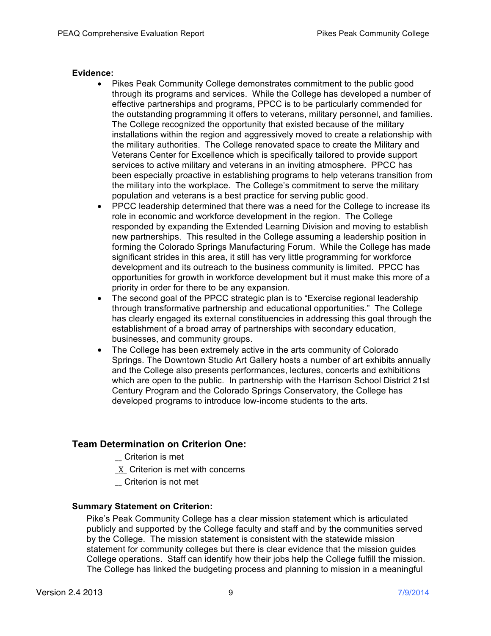### **Evidence:**

- Pikes Peak Community College demonstrates commitment to the public good through its programs and services. While the College has developed a number of effective partnerships and programs, PPCC is to be particularly commended for the outstanding programming it offers to veterans, military personnel, and families. The College recognized the opportunity that existed because of the military installations within the region and aggressively moved to create a relationship with the military authorities. The College renovated space to create the Military and Veterans Center for Excellence which is specifically tailored to provide support services to active military and veterans in an inviting atmosphere. PPCC has been especially proactive in establishing programs to help veterans transition from the military into the workplace. The College's commitment to serve the military population and veterans is a best practice for serving public good.
- PPCC leadership determined that there was a need for the College to increase its role in economic and workforce development in the region. The College responded by expanding the Extended Learning Division and moving to establish new partnerships. This resulted in the College assuming a leadership position in forming the Colorado Springs Manufacturing Forum. While the College has made significant strides in this area, it still has very little programming for workforce development and its outreach to the business community is limited. PPCC has opportunities for growth in workforce development but it must make this more of a priority in order for there to be any expansion.
- The second goal of the PPCC strategic plan is to "Exercise regional leadership through transformative partnership and educational opportunities." The College has clearly engaged its external constituencies in addressing this goal through the establishment of a broad array of partnerships with secondary education, businesses, and community groups.
- The College has been extremely active in the arts community of Colorado Springs. The Downtown Studio Art Gallery hosts a number of art exhibits annually and the College also presents performances, lectures, concerts and exhibitions which are open to the public. In partnership with the Harrison School District 21st Century Program and the Colorado Springs Conservatory, the College has developed programs to introduce low-income students to the arts.

# **Team Determination on Criterion One:**

- \_\_ Criterion is met
- X Criterion is met with concerns
- \_\_ Criterion is not met

# **Summary Statement on Criterion:**

Pike's Peak Community College has a clear mission statement which is articulated publicly and supported by the College faculty and staff and by the communities served by the College. The mission statement is consistent with the statewide mission statement for community colleges but there is clear evidence that the mission guides College operations. Staff can identify how their jobs help the College fulfill the mission. The College has linked the budgeting process and planning to mission in a meaningful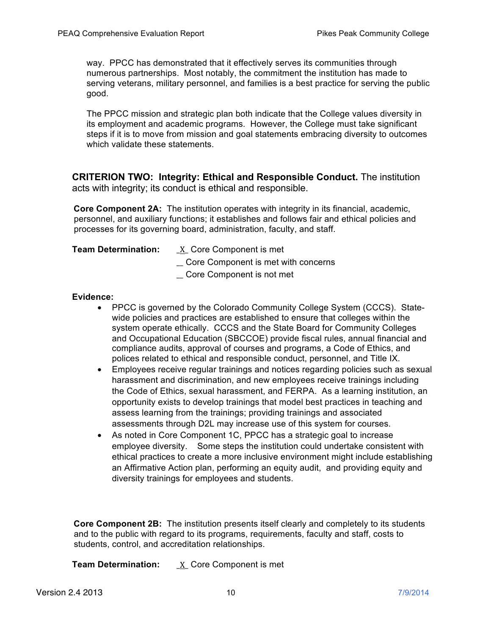way. PPCC has demonstrated that it effectively serves its communities through numerous partnerships. Most notably, the commitment the institution has made to serving veterans, military personnel, and families is a best practice for serving the public good.

The PPCC mission and strategic plan both indicate that the College values diversity in its employment and academic programs. However, the College must take significant steps if it is to move from mission and goal statements embracing diversity to outcomes which validate these statements.

**CRITERION TWO: Integrity: Ethical and Responsible Conduct.** The institution acts with integrity; its conduct is ethical and responsible.

**Core Component 2A:** The institution operates with integrity in its financial, academic, personnel, and auxiliary functions; it establishes and follows fair and ethical policies and processes for its governing board, administration, faculty, and staff.

- **Team Determination:** \_\_ X\_ Core Component is met
	- \_\_ Core Component is met with concerns
	- \_\_ Core Component is not met

### **Evidence:**

- PPCC is governed by the Colorado Community College System (CCCS). Statewide policies and practices are established to ensure that colleges within the system operate ethically. CCCS and the State Board for Community Colleges and Occupational Education (SBCCOE) provide fiscal rules, annual financial and compliance audits, approval of courses and programs, a Code of Ethics, and polices related to ethical and responsible conduct, personnel, and Title IX.
- Employees receive regular trainings and notices regarding policies such as sexual harassment and discrimination, and new employees receive trainings including the Code of Ethics, sexual harassment, and FERPA. As a learning institution, an opportunity exists to develop trainings that model best practices in teaching and assess learning from the trainings; providing trainings and associated assessments through D2L may increase use of this system for courses.
- As noted in Core Component 1C, PPCC has a strategic goal to increase employee diversity. Some steps the institution could undertake consistent with ethical practices to create a more inclusive environment might include establishing an Affirmative Action plan, performing an equity audit, and providing equity and diversity trainings for employees and students.

**Core Component 2B:** The institution presents itself clearly and completely to its students and to the public with regard to its programs, requirements, faculty and staff, costs to students, control, and accreditation relationships.

**Team Determination:** \_X\_ Core Component is met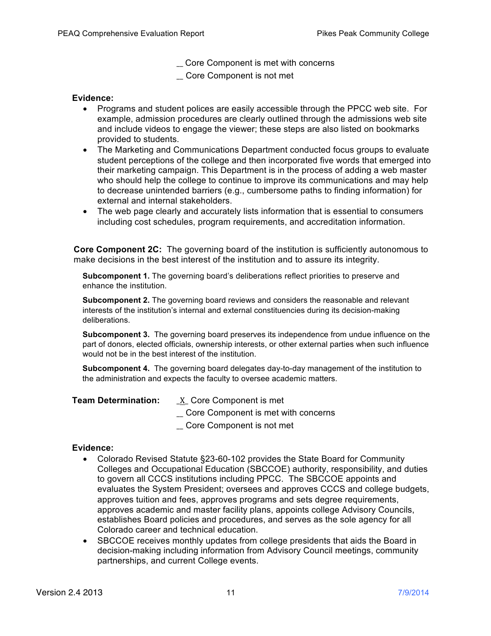\_\_ Core Component is met with concerns

\_\_ Core Component is not met

### **Evidence:**

- Programs and student polices are easily accessible through the PPCC web site. For example, admission procedures are clearly outlined through the admissions web site and include videos to engage the viewer; these steps are also listed on bookmarks provided to students.
- The Marketing and Communications Department conducted focus groups to evaluate student perceptions of the college and then incorporated five words that emerged into their marketing campaign. This Department is in the process of adding a web master who should help the college to continue to improve its communications and may help to decrease unintended barriers (e.g., cumbersome paths to finding information) for external and internal stakeholders.
- The web page clearly and accurately lists information that is essential to consumers including cost schedules, program requirements, and accreditation information.

**Core Component 2C:** The governing board of the institution is sufficiently autonomous to make decisions in the best interest of the institution and to assure its integrity.

**Subcomponent 1.** The governing board's deliberations reflect priorities to preserve and enhance the institution.

**Subcomponent 2.** The governing board reviews and considers the reasonable and relevant interests of the institution's internal and external constituencies during its decision-making deliberations.

**Subcomponent 3.** The governing board preserves its independence from undue influence on the part of donors, elected officials, ownership interests, or other external parties when such influence would not be in the best interest of the institution.

**Subcomponent 4.** The governing board delegates day-to-day management of the institution to the administration and expects the faculty to oversee academic matters.

| <b>Team Determination:</b> | $X$ Core Component is met           |  |
|----------------------------|-------------------------------------|--|
|                            | Core Component is met with concerns |  |
|                            | _ Core Component is not met         |  |

- Colorado Revised Statute §23-60-102 provides the State Board for Community Colleges and Occupational Education (SBCCOE) authority, responsibility, and duties to govern all CCCS institutions including PPCC. The SBCCOE appoints and evaluates the System President; oversees and approves CCCS and college budgets, approves tuition and fees, approves programs and sets degree requirements, approves academic and master facility plans, appoints college Advisory Councils, establishes Board policies and procedures, and serves as the sole agency for all Colorado career and technical education.
- SBCCOE receives monthly updates from college presidents that aids the Board in decision-making including information from Advisory Council meetings, community partnerships, and current College events.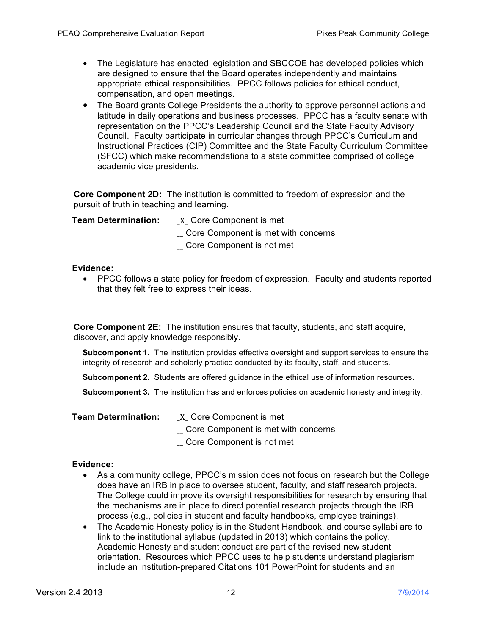- The Legislature has enacted legislation and SBCCOE has developed policies which are designed to ensure that the Board operates independently and maintains appropriate ethical responsibilities. PPCC follows policies for ethical conduct, compensation, and open meetings.
- The Board grants College Presidents the authority to approve personnel actions and latitude in daily operations and business processes. PPCC has a faculty senate with representation on the PPCC's Leadership Council and the State Faculty Advisory Council. Faculty participate in curricular changes through PPCC's Curriculum and Instructional Practices (CIP) Committee and the State Faculty Curriculum Committee (SFCC) which make recommendations to a state committee comprised of college academic vice presidents.

**Core Component 2D:** The institution is committed to freedom of expression and the pursuit of truth in teaching and learning.

**Team Determination:** \_X\_ Core Component is met

- \_\_ Core Component is met with concerns
- \_\_ Core Component is not met

### **Evidence:**

• PPCC follows a state policy for freedom of expression. Faculty and students reported that they felt free to express their ideas.

**Core Component 2E:** The institution ensures that faculty, students, and staff acquire, discover, and apply knowledge responsibly.

**Subcomponent 1.** The institution provides effective oversight and support services to ensure the integrity of research and scholarly practice conducted by its faculty, staff, and students.

**Subcomponent 2.** Students are offered guidance in the ethical use of information resources.

**Subcomponent 3.** The institution has and enforces policies on academic honesty and integrity.

- **Team Determination:** X Core Component is met
	- \_\_ Core Component is met with concerns
	- \_\_ Core Component is not met

- As a community college, PPCC's mission does not focus on research but the College does have an IRB in place to oversee student, faculty, and staff research projects. The College could improve its oversight responsibilities for research by ensuring that the mechanisms are in place to direct potential research projects through the IRB process (e.g., policies in student and faculty handbooks, employee trainings).
- The Academic Honesty policy is in the Student Handbook, and course syllabi are to link to the institutional syllabus (updated in 2013) which contains the policy. Academic Honesty and student conduct are part of the revised new student orientation. Resources which PPCC uses to help students understand plagiarism include an institution-prepared Citations 101 PowerPoint for students and an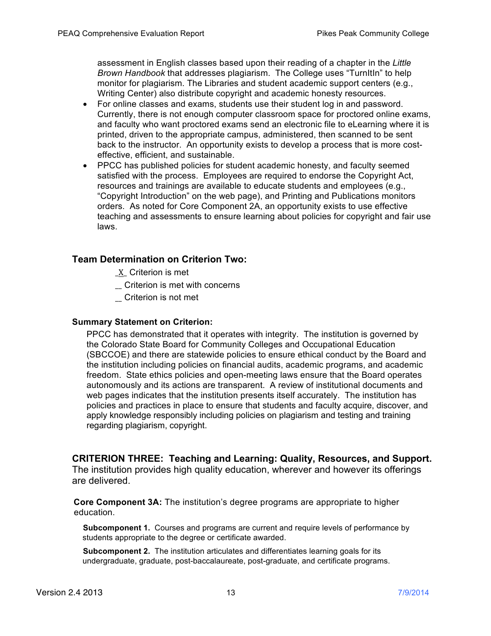assessment in English classes based upon their reading of a chapter in the *Little Brown Handbook* that addresses plagiarism. The College uses "TurnItIn" to help monitor for plagiarism. The Libraries and student academic support centers (e.g., Writing Center) also distribute copyright and academic honesty resources.

- For online classes and exams, students use their student log in and password. Currently, there is not enough computer classroom space for proctored online exams, and faculty who want proctored exams send an electronic file to eLearning where it is printed, driven to the appropriate campus, administered, then scanned to be sent back to the instructor. An opportunity exists to develop a process that is more costeffective, efficient, and sustainable.
- PPCC has published policies for student academic honesty, and faculty seemed satisfied with the process. Employees are required to endorse the Copyright Act, resources and trainings are available to educate students and employees (e.g., "Copyright Introduction" on the web page), and Printing and Publications monitors orders. As noted for Core Component 2A, an opportunity exists to use effective teaching and assessments to ensure learning about policies for copyright and fair use laws.

# **Team Determination on Criterion Two:**

- \_X\_ Criterion is met
- \_\_ Criterion is met with concerns
- \_\_ Criterion is not met

### **Summary Statement on Criterion:**

PPCC has demonstrated that it operates with integrity. The institution is governed by the Colorado State Board for Community Colleges and Occupational Education (SBCCOE) and there are statewide policies to ensure ethical conduct by the Board and the institution including policies on financial audits, academic programs, and academic freedom. State ethics policies and open-meeting laws ensure that the Board operates autonomously and its actions are transparent. A review of institutional documents and web pages indicates that the institution presents itself accurately. The institution has policies and practices in place to ensure that students and faculty acquire, discover, and apply knowledge responsibly including policies on plagiarism and testing and training regarding plagiarism, copyright.

# **CRITERION THREE: Teaching and Learning: Quality, Resources, and Support.**

The institution provides high quality education, wherever and however its offerings are delivered.

**Core Component 3A:** The institution's degree programs are appropriate to higher education.

**Subcomponent 1.** Courses and programs are current and require levels of performance by students appropriate to the degree or certificate awarded.

**Subcomponent 2.** The institution articulates and differentiates learning goals for its undergraduate, graduate, post-baccalaureate, post-graduate, and certificate programs.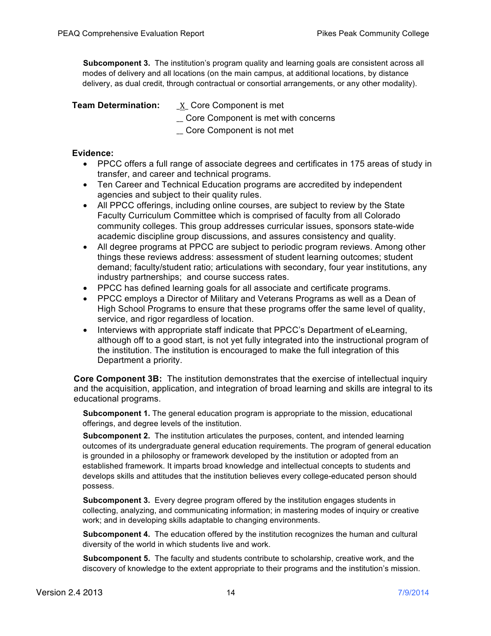**Subcomponent 3.** The institution's program quality and learning goals are consistent across all modes of delivery and all locations (on the main campus, at additional locations, by distance delivery, as dual credit, through contractual or consortial arrangements, or any other modality).

### **Team Determination:** \_X\_ Core Component is met

- 
- \_\_ Core Component is met with concerns
- \_\_ Core Component is not met

### **Evidence:**

- PPCC offers a full range of associate degrees and certificates in 175 areas of study in transfer, and career and technical programs.
- Ten Career and Technical Education programs are accredited by independent agencies and subject to their quality rules.
- All PPCC offerings, including online courses, are subject to review by the State Faculty Curriculum Committee which is comprised of faculty from all Colorado community colleges. This group addresses curricular issues, sponsors state-wide academic discipline group discussions, and assures consistency and quality.
- All degree programs at PPCC are subject to periodic program reviews. Among other things these reviews address: assessment of student learning outcomes; student demand; faculty/student ratio; articulations with secondary, four year institutions, any industry partnerships; and course success rates.
- PPCC has defined learning goals for all associate and certificate programs.
- PPCC employs a Director of Military and Veterans Programs as well as a Dean of High School Programs to ensure that these programs offer the same level of quality, service, and rigor regardless of location.
- Interviews with appropriate staff indicate that PPCC's Department of eLearning, although off to a good start, is not yet fully integrated into the instructional program of the institution. The institution is encouraged to make the full integration of this Department a priority.

**Core Component 3B:** The institution demonstrates that the exercise of intellectual inquiry and the acquisition, application, and integration of broad learning and skills are integral to its educational programs.

**Subcomponent 1.** The general education program is appropriate to the mission, educational offerings, and degree levels of the institution.

**Subcomponent 2.** The institution articulates the purposes, content, and intended learning outcomes of its undergraduate general education requirements. The program of general education is grounded in a philosophy or framework developed by the institution or adopted from an established framework. It imparts broad knowledge and intellectual concepts to students and develops skills and attitudes that the institution believes every college-educated person should possess.

**Subcomponent 3.** Every degree program offered by the institution engages students in collecting, analyzing, and communicating information; in mastering modes of inquiry or creative work; and in developing skills adaptable to changing environments.

**Subcomponent 4.** The education offered by the institution recognizes the human and cultural diversity of the world in which students live and work.

**Subcomponent 5.** The faculty and students contribute to scholarship, creative work, and the discovery of knowledge to the extent appropriate to their programs and the institution's mission.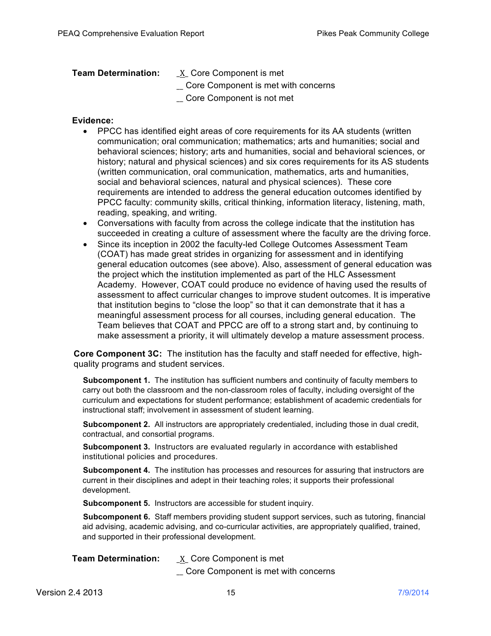- **Team Determination:** X Core Component is met
	- \_\_ Core Component is met with concerns
	- \_\_ Core Component is not met

### **Evidence:**

- PPCC has identified eight areas of core requirements for its AA students (written communication; oral communication; mathematics; arts and humanities; social and behavioral sciences; history; arts and humanities, social and behavioral sciences, or history; natural and physical sciences) and six cores requirements for its AS students (written communication, oral communication, mathematics, arts and humanities, social and behavioral sciences, natural and physical sciences). These core requirements are intended to address the general education outcomes identified by PPCC faculty: community skills, critical thinking, information literacy, listening, math, reading, speaking, and writing.
- Conversations with faculty from across the college indicate that the institution has succeeded in creating a culture of assessment where the faculty are the driving force.
- Since its inception in 2002 the faculty-led College Outcomes Assessment Team (COAT) has made great strides in organizing for assessment and in identifying general education outcomes (see above). Also, assessment of general education was the project which the institution implemented as part of the HLC Assessment Academy. However, COAT could produce no evidence of having used the results of assessment to affect curricular changes to improve student outcomes. It is imperative that institution begins to "close the loop" so that it can demonstrate that it has a meaningful assessment process for all courses, including general education. The Team believes that COAT and PPCC are off to a strong start and, by continuing to make assessment a priority, it will ultimately develop a mature assessment process.

**Core Component 3C:** The institution has the faculty and staff needed for effective, highquality programs and student services.

**Subcomponent 1.** The institution has sufficient numbers and continuity of faculty members to carry out both the classroom and the non-classroom roles of faculty, including oversight of the curriculum and expectations for student performance; establishment of academic credentials for instructional staff; involvement in assessment of student learning.

**Subcomponent 2.** All instructors are appropriately credentialed, including those in dual credit, contractual, and consortial programs.

**Subcomponent 3.** Instructors are evaluated regularly in accordance with established institutional policies and procedures.

**Subcomponent 4.** The institution has processes and resources for assuring that instructors are current in their disciplines and adept in their teaching roles; it supports their professional development.

**Subcomponent 5.** Instructors are accessible for student inquiry.

**Subcomponent 6.** Staff members providing student support services, such as tutoring, financial aid advising, academic advising, and co-curricular activities, are appropriately qualified, trained, and supported in their professional development.

| <b>Team Determination:</b> | X Core Component is met             |
|----------------------------|-------------------------------------|
|                            | Core Component is met with concerns |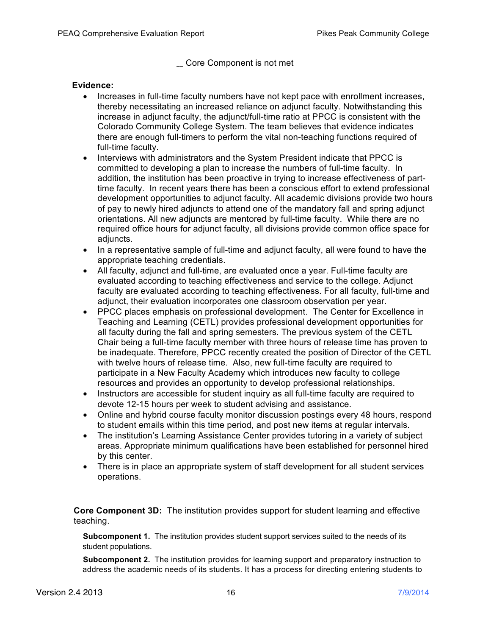### \_\_ Core Component is not met

### **Evidence:**

- Increases in full-time faculty numbers have not kept pace with enrollment increases, thereby necessitating an increased reliance on adjunct faculty. Notwithstanding this increase in adjunct faculty, the adjunct/full-time ratio at PPCC is consistent with the Colorado Community College System. The team believes that evidence indicates there are enough full-timers to perform the vital non-teaching functions required of full-time faculty.
- Interviews with administrators and the System President indicate that PPCC is committed to developing a plan to increase the numbers of full-time faculty. In addition, the institution has been proactive in trying to increase effectiveness of parttime faculty. In recent years there has been a conscious effort to extend professional development opportunities to adjunct faculty. All academic divisions provide two hours of pay to newly hired adjuncts to attend one of the mandatory fall and spring adjunct orientations. All new adjuncts are mentored by full-time faculty. While there are no required office hours for adjunct faculty, all divisions provide common office space for adjuncts.
- In a representative sample of full-time and adjunct faculty, all were found to have the appropriate teaching credentials.
- All faculty, adjunct and full-time, are evaluated once a year. Full-time faculty are evaluated according to teaching effectiveness and service to the college. Adjunct faculty are evaluated according to teaching effectiveness. For all faculty, full-time and adjunct, their evaluation incorporates one classroom observation per year.
- PPCC places emphasis on professional development. The Center for Excellence in Teaching and Learning (CETL) provides professional development opportunities for all faculty during the fall and spring semesters. The previous system of the CETL Chair being a full-time faculty member with three hours of release time has proven to be inadequate. Therefore, PPCC recently created the position of Director of the CETL with twelve hours of release time. Also, new full-time faculty are required to participate in a New Faculty Academy which introduces new faculty to college resources and provides an opportunity to develop professional relationships.
- Instructors are accessible for student inquiry as all full-time faculty are required to devote 12-15 hours per week to student advising and assistance.
- Online and hybrid course faculty monitor discussion postings every 48 hours, respond to student emails within this time period, and post new items at regular intervals.
- The institution's Learning Assistance Center provides tutoring in a variety of subject areas. Appropriate minimum qualifications have been established for personnel hired by this center.
- There is in place an appropriate system of staff development for all student services operations.

**Core Component 3D:** The institution provides support for student learning and effective teaching.

**Subcomponent 1.** The institution provides student support services suited to the needs of its student populations.

**Subcomponent 2.** The institution provides for learning support and preparatory instruction to address the academic needs of its students. It has a process for directing entering students to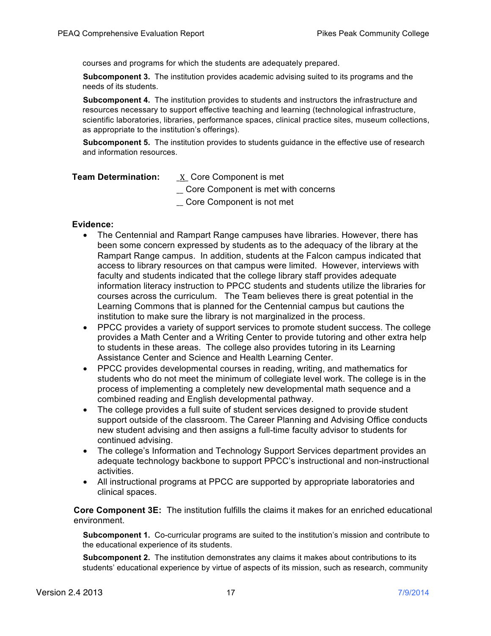courses and programs for which the students are adequately prepared.

**Subcomponent 3.** The institution provides academic advising suited to its programs and the needs of its students.

**Subcomponent 4.** The institution provides to students and instructors the infrastructure and resources necessary to support effective teaching and learning (technological infrastructure, scientific laboratories, libraries, performance spaces, clinical practice sites, museum collections, as appropriate to the institution's offerings).

**Subcomponent 5.** The institution provides to students guidance in the effective use of research and information resources.

| <b>Team Determination:</b> | X Core Component is met |
|----------------------------|-------------------------|
|----------------------------|-------------------------|

\_\_ Core Component is met with concerns

\_\_ Core Component is not met

### **Evidence:**

- The Centennial and Rampart Range campuses have libraries. However, there has been some concern expressed by students as to the adequacy of the library at the Rampart Range campus. In addition, students at the Falcon campus indicated that access to library resources on that campus were limited. However, interviews with faculty and students indicated that the college library staff provides adequate information literacy instruction to PPCC students and students utilize the libraries for courses across the curriculum. The Team believes there is great potential in the Learning Commons that is planned for the Centennial campus but cautions the institution to make sure the library is not marginalized in the process.
- PPCC provides a variety of support services to promote student success. The college provides a Math Center and a Writing Center to provide tutoring and other extra help to students in these areas. The college also provides tutoring in its Learning Assistance Center and Science and Health Learning Center.
- PPCC provides developmental courses in reading, writing, and mathematics for students who do not meet the minimum of collegiate level work. The college is in the process of implementing a completely new developmental math sequence and a combined reading and English developmental pathway.
- The college provides a full suite of student services designed to provide student support outside of the classroom. The Career Planning and Advising Office conducts new student advising and then assigns a full-time faculty advisor to students for continued advising.
- The college's Information and Technology Support Services department provides an adequate technology backbone to support PPCC's instructional and non-instructional activities.
- All instructional programs at PPCC are supported by appropriate laboratories and clinical spaces.

**Core Component 3E:** The institution fulfills the claims it makes for an enriched educational environment.

**Subcomponent 1.** Co-curricular programs are suited to the institution's mission and contribute to the educational experience of its students.

**Subcomponent 2.** The institution demonstrates any claims it makes about contributions to its students' educational experience by virtue of aspects of its mission, such as research, community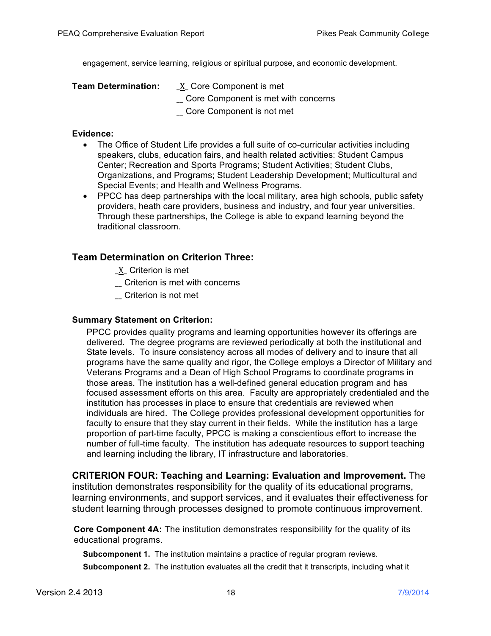engagement, service learning, religious or spiritual purpose, and economic development.

| <b>Team Determination:</b> | $X$ Core Component is met           |  |
|----------------------------|-------------------------------------|--|
|                            | Core Component is met with concerns |  |
|                            | Core Component is not met           |  |

### **Evidence:**

- The Office of Student Life provides a full suite of co-curricular activities including speakers, clubs, education fairs, and health related activities: Student Campus Center; Recreation and Sports Programs; Student Activities; Student Clubs, Organizations, and Programs; Student Leadership Development; Multicultural and Special Events; and Health and Wellness Programs.
- PPCC has deep partnerships with the local military, area high schools, public safety providers, heath care providers, business and industry, and four year universities. Through these partnerships, the College is able to expand learning beyond the traditional classroom.

# **Team Determination on Criterion Three:**

- \_X\_ Criterion is met
- \_\_ Criterion is met with concerns
- \_\_ Criterion is not met

# **Summary Statement on Criterion:**

PPCC provides quality programs and learning opportunities however its offerings are delivered. The degree programs are reviewed periodically at both the institutional and State levels. To insure consistency across all modes of delivery and to insure that all programs have the same quality and rigor, the College employs a Director of Military and Veterans Programs and a Dean of High School Programs to coordinate programs in those areas. The institution has a well-defined general education program and has focused assessment efforts on this area. Faculty are appropriately credentialed and the institution has processes in place to ensure that credentials are reviewed when individuals are hired. The College provides professional development opportunities for faculty to ensure that they stay current in their fields. While the institution has a large proportion of part-time faculty, PPCC is making a conscientious effort to increase the number of full-time faculty. The institution has adequate resources to support teaching and learning including the library, IT infrastructure and laboratories.

**CRITERION FOUR: Teaching and Learning: Evaluation and Improvement.** The institution demonstrates responsibility for the quality of its educational programs, learning environments, and support services, and it evaluates their effectiveness for student learning through processes designed to promote continuous improvement.

**Core Component 4A:** The institution demonstrates responsibility for the quality of its educational programs.

**Subcomponent 1.** The institution maintains a practice of regular program reviews. **Subcomponent 2.** The institution evaluates all the credit that it transcripts, including what it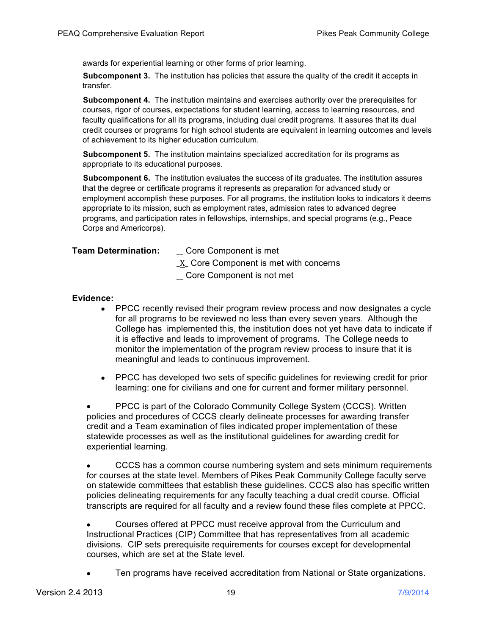awards for experiential learning or other forms of prior learning.

**Subcomponent 3.** The institution has policies that assure the quality of the credit it accepts in transfer.

**Subcomponent 4.** The institution maintains and exercises authority over the prerequisites for courses, rigor of courses, expectations for student learning, access to learning resources, and faculty qualifications for all its programs, including dual credit programs. It assures that its dual credit courses or programs for high school students are equivalent in learning outcomes and levels of achievement to its higher education curriculum.

**Subcomponent 5.** The institution maintains specialized accreditation for its programs as appropriate to its educational purposes.

**Subcomponent 6.** The institution evaluates the success of its graduates. The institution assures that the degree or certificate programs it represents as preparation for advanced study or employment accomplish these purposes. For all programs, the institution looks to indicators it deems appropriate to its mission, such as employment rates, admission rates to advanced degree programs, and participation rates in fellowships, internships, and special programs (e.g., Peace Corps and Americorps).

**Team Determination:** \_\_ Core Component is met

 $X$  Core Component is met with concerns

\_\_ Core Component is not met

### **Evidence:**

- PPCC recently revised their program review process and now designates a cycle for all programs to be reviewed no less than every seven years. Although the College has implemented this, the institution does not yet have data to indicate if it is effective and leads to improvement of programs. The College needs to monitor the implementation of the program review process to insure that it is meaningful and leads to continuous improvement.
- PPCC has developed two sets of specific guidelines for reviewing credit for prior learning: one for civilians and one for current and former military personnel.

• PPCC is part of the Colorado Community College System (CCCS). Written policies and procedures of CCCS clearly delineate processes for awarding transfer credit and a Team examination of files indicated proper implementation of these statewide processes as well as the institutional guidelines for awarding credit for experiential learning.

• CCCS has a common course numbering system and sets minimum requirements for courses at the state level. Members of Pikes Peak Community College faculty serve on statewide committees that establish these guidelines. CCCS also has specific written policies delineating requirements for any faculty teaching a dual credit course. Official transcripts are required for all faculty and a review found these files complete at PPCC.

• Courses offered at PPCC must receive approval from the Curriculum and Instructional Practices (CIP) Committee that has representatives from all academic divisions. CIP sets prerequisite requirements for courses except for developmental courses, which are set at the State level.

• Ten programs have received accreditation from National or State organizations.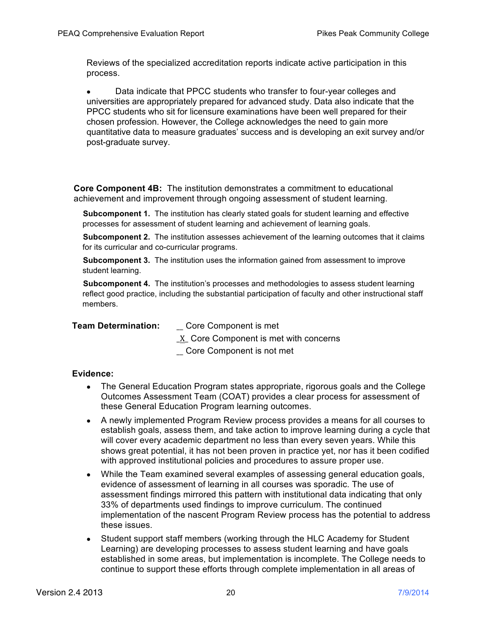Reviews of the specialized accreditation reports indicate active participation in this process.

• Data indicate that PPCC students who transfer to four-year colleges and universities are appropriately prepared for advanced study. Data also indicate that the PPCC students who sit for licensure examinations have been well prepared for their chosen profession. However, the College acknowledges the need to gain more quantitative data to measure graduates' success and is developing an exit survey and/or post-graduate survey.

**Core Component 4B:** The institution demonstrates a commitment to educational achievement and improvement through ongoing assessment of student learning.

**Subcomponent 1.** The institution has clearly stated goals for student learning and effective processes for assessment of student learning and achievement of learning goals.

**Subcomponent 2.** The institution assesses achievement of the learning outcomes that it claims for its curricular and co-curricular programs.

**Subcomponent 3.** The institution uses the information gained from assessment to improve student learning.

**Subcomponent 4.** The institution's processes and methodologies to assess student learning reflect good practice, including the substantial participation of faculty and other instructional staff members.

**Team Determination:** \_\_ Core Component is met

\_X\_ Core Component is met with concerns

\_\_ Core Component is not met

- The General Education Program states appropriate, rigorous goals and the College Outcomes Assessment Team (COAT) provides a clear process for assessment of these General Education Program learning outcomes.
- A newly implemented Program Review process provides a means for all courses to establish goals, assess them, and take action to improve learning during a cycle that will cover every academic department no less than every seven years. While this shows great potential, it has not been proven in practice yet, nor has it been codified with approved institutional policies and procedures to assure proper use.
- While the Team examined several examples of assessing general education goals, evidence of assessment of learning in all courses was sporadic. The use of assessment findings mirrored this pattern with institutional data indicating that only 33% of departments used findings to improve curriculum. The continued implementation of the nascent Program Review process has the potential to address these issues.
- Student support staff members (working through the HLC Academy for Student Learning) are developing processes to assess student learning and have goals established in some areas, but implementation is incomplete. The College needs to continue to support these efforts through complete implementation in all areas of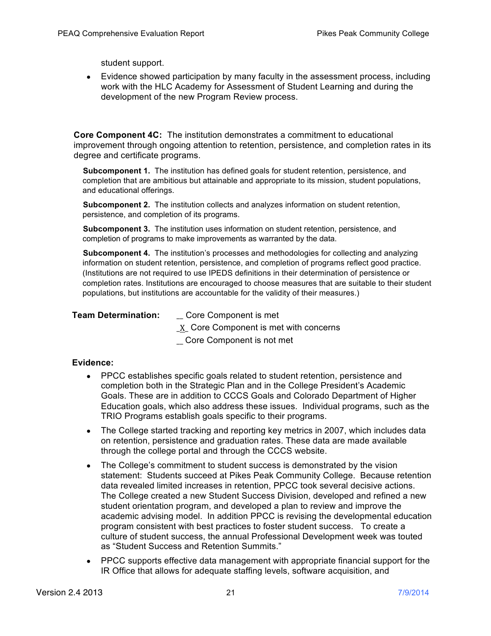student support.

• Evidence showed participation by many faculty in the assessment process, including work with the HLC Academy for Assessment of Student Learning and during the development of the new Program Review process.

**Core Component 4C:** The institution demonstrates a commitment to educational improvement through ongoing attention to retention, persistence, and completion rates in its degree and certificate programs.

**Subcomponent 1.** The institution has defined goals for student retention, persistence, and completion that are ambitious but attainable and appropriate to its mission, student populations, and educational offerings.

**Subcomponent 2.** The institution collects and analyzes information on student retention, persistence, and completion of its programs.

**Subcomponent 3.** The institution uses information on student retention, persistence, and completion of programs to make improvements as warranted by the data.

**Subcomponent 4.** The institution's processes and methodologies for collecting and analyzing information on student retention, persistence, and completion of programs reflect good practice. (Institutions are not required to use IPEDS definitions in their determination of persistence or completion rates. Institutions are encouraged to choose measures that are suitable to their student populations, but institutions are accountable for the validity of their measures.)

### **Team Determination:** \_\_ Core Component is met

\_X\_ Core Component is met with concerns

\_\_ Core Component is not met

- PPCC establishes specific goals related to student retention, persistence and completion both in the Strategic Plan and in the College President's Academic Goals. These are in addition to CCCS Goals and Colorado Department of Higher Education goals, which also address these issues. Individual programs, such as the TRIO Programs establish goals specific to their programs.
- The College started tracking and reporting key metrics in 2007, which includes data on retention, persistence and graduation rates. These data are made available through the college portal and through the CCCS website.
- The College's commitment to student success is demonstrated by the vision statement: Students succeed at Pikes Peak Community College. Because retention data revealed limited increases in retention, PPCC took several decisive actions. The College created a new Student Success Division, developed and refined a new student orientation program, and developed a plan to review and improve the academic advising model. In addition PPCC is revising the developmental education program consistent with best practices to foster student success. To create a culture of student success, the annual Professional Development week was touted as "Student Success and Retention Summits."
- PPCC supports effective data management with appropriate financial support for the IR Office that allows for adequate staffing levels, software acquisition, and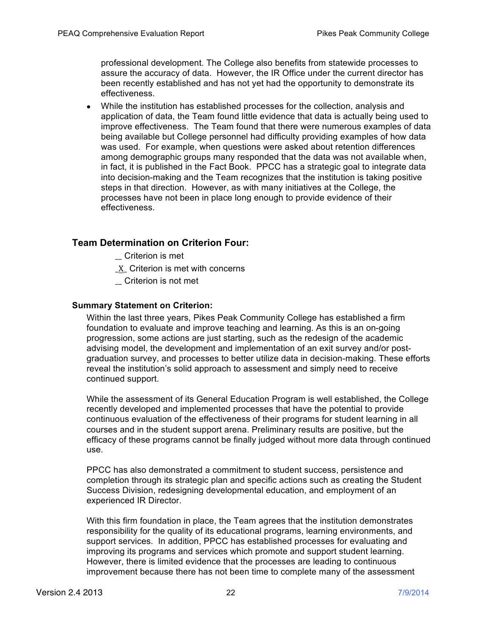professional development. The College also benefits from statewide processes to assure the accuracy of data. However, the IR Office under the current director has been recently established and has not yet had the opportunity to demonstrate its effectiveness.

• While the institution has established processes for the collection, analysis and application of data, the Team found little evidence that data is actually being used to improve effectiveness. The Team found that there were numerous examples of data being available but College personnel had difficulty providing examples of how data was used. For example, when questions were asked about retention differences among demographic groups many responded that the data was not available when, in fact, it is published in the Fact Book. PPCC has a strategic goal to integrate data into decision-making and the Team recognizes that the institution is taking positive steps in that direction. However, as with many initiatives at the College, the processes have not been in place long enough to provide evidence of their effectiveness.

# **Team Determination on Criterion Four:**

- \_\_ Criterion is met
- \_X\_ Criterion is met with concerns
- \_\_ Criterion is not met

### **Summary Statement on Criterion:**

Within the last three years, Pikes Peak Community College has established a firm foundation to evaluate and improve teaching and learning. As this is an on-going progression, some actions are just starting, such as the redesign of the academic advising model, the development and implementation of an exit survey and/or postgraduation survey, and processes to better utilize data in decision-making. These efforts reveal the institution's solid approach to assessment and simply need to receive continued support.

While the assessment of its General Education Program is well established, the College recently developed and implemented processes that have the potential to provide continuous evaluation of the effectiveness of their programs for student learning in all courses and in the student support arena. Preliminary results are positive, but the efficacy of these programs cannot be finally judged without more data through continued use.

PPCC has also demonstrated a commitment to student success, persistence and completion through its strategic plan and specific actions such as creating the Student Success Division, redesigning developmental education, and employment of an experienced IR Director.

With this firm foundation in place, the Team agrees that the institution demonstrates responsibility for the quality of its educational programs, learning environments, and support services. In addition, PPCC has established processes for evaluating and improving its programs and services which promote and support student learning. However, there is limited evidence that the processes are leading to continuous improvement because there has not been time to complete many of the assessment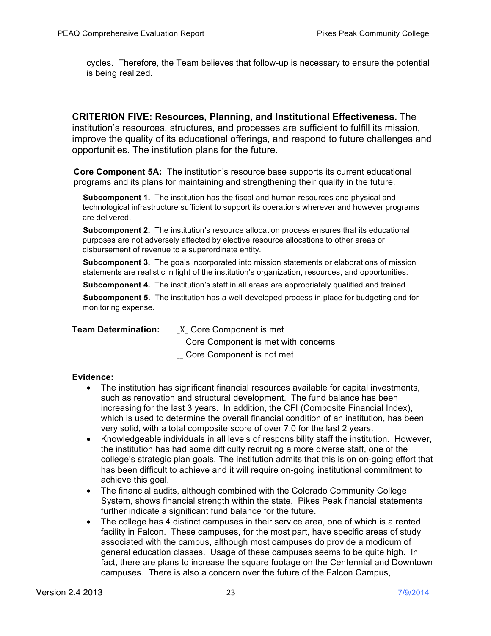cycles. Therefore, the Team believes that follow-up is necessary to ensure the potential is being realized.

**CRITERION FIVE: Resources, Planning, and Institutional Effectiveness.** The institution's resources, structures, and processes are sufficient to fulfill its mission, improve the quality of its educational offerings, and respond to future challenges and opportunities. The institution plans for the future.

**Core Component 5A:** The institution's resource base supports its current educational programs and its plans for maintaining and strengthening their quality in the future.

**Subcomponent 1.** The institution has the fiscal and human resources and physical and technological infrastructure sufficient to support its operations wherever and however programs are delivered.

**Subcomponent 2.** The institution's resource allocation process ensures that its educational purposes are not adversely affected by elective resource allocations to other areas or disbursement of revenue to a superordinate entity.

**Subcomponent 3.** The goals incorporated into mission statements or elaborations of mission statements are realistic in light of the institution's organization, resources, and opportunities.

**Subcomponent 4.** The institution's staff in all areas are appropriately qualified and trained.

**Subcomponent 5.** The institution has a well-developed process in place for budgeting and for monitoring expense.

**Team Determination:** X Core Component is met

\_\_ Core Component is met with concerns

\_\_ Core Component is not met

- The institution has significant financial resources available for capital investments, such as renovation and structural development. The fund balance has been increasing for the last 3 years. In addition, the CFI (Composite Financial Index), which is used to determine the overall financial condition of an institution, has been very solid, with a total composite score of over 7.0 for the last 2 years.
- Knowledgeable individuals in all levels of responsibility staff the institution. However, the institution has had some difficulty recruiting a more diverse staff, one of the college's strategic plan goals. The institution admits that this is on on-going effort that has been difficult to achieve and it will require on-going institutional commitment to achieve this goal.
- The financial audits, although combined with the Colorado Community College System, shows financial strength within the state. Pikes Peak financial statements further indicate a significant fund balance for the future.
- The college has 4 distinct campuses in their service area, one of which is a rented facility in Falcon. These campuses, for the most part, have specific areas of study associated with the campus, although most campuses do provide a modicum of general education classes. Usage of these campuses seems to be quite high. In fact, there are plans to increase the square footage on the Centennial and Downtown campuses. There is also a concern over the future of the Falcon Campus,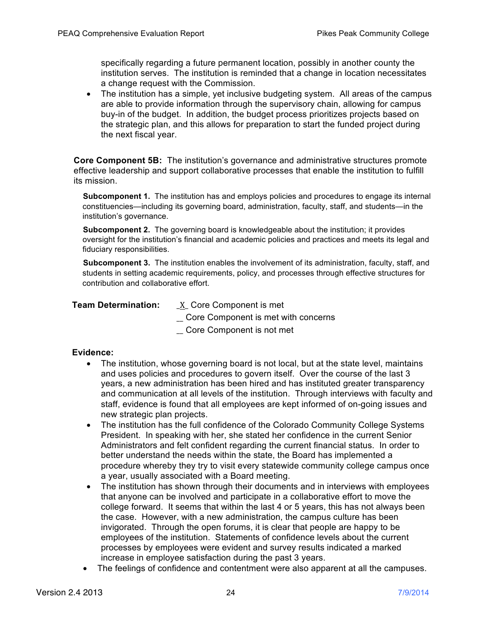specifically regarding a future permanent location, possibly in another county the institution serves. The institution is reminded that a change in location necessitates a change request with the Commission.

• The institution has a simple, yet inclusive budgeting system. All areas of the campus are able to provide information through the supervisory chain, allowing for campus buy-in of the budget. In addition, the budget process prioritizes projects based on the strategic plan, and this allows for preparation to start the funded project during the next fiscal year.

**Core Component 5B:** The institution's governance and administrative structures promote effective leadership and support collaborative processes that enable the institution to fulfill its mission.

**Subcomponent 1.** The institution has and employs policies and procedures to engage its internal constituencies—including its governing board, administration, faculty, staff, and students—in the institution's governance.

**Subcomponent 2.** The governing board is knowledgeable about the institution; it provides oversight for the institution's financial and academic policies and practices and meets its legal and fiduciary responsibilities.

**Subcomponent 3.** The institution enables the involvement of its administration, faculty, staff, and students in setting academic requirements, policy, and processes through effective structures for contribution and collaborative effort.

| <b>Team Determination:</b> | <u>X</u> Core Component is met      |  |
|----------------------------|-------------------------------------|--|
|                            | Core Component is met with concerns |  |

\_\_ Core Component is not met

- The institution, whose governing board is not local, but at the state level, maintains and uses policies and procedures to govern itself. Over the course of the last 3 years, a new administration has been hired and has instituted greater transparency and communication at all levels of the institution. Through interviews with faculty and staff, evidence is found that all employees are kept informed of on-going issues and new strategic plan projects.
- The institution has the full confidence of the Colorado Community College Systems President. In speaking with her, she stated her confidence in the current Senior Administrators and felt confident regarding the current financial status. In order to better understand the needs within the state, the Board has implemented a procedure whereby they try to visit every statewide community college campus once a year, usually associated with a Board meeting.
- The institution has shown through their documents and in interviews with employees that anyone can be involved and participate in a collaborative effort to move the college forward. It seems that within the last 4 or 5 years, this has not always been the case. However, with a new administration, the campus culture has been invigorated. Through the open forums, it is clear that people are happy to be employees of the institution. Statements of confidence levels about the current processes by employees were evident and survey results indicated a marked increase in employee satisfaction during the past 3 years.
- The feelings of confidence and contentment were also apparent at all the campuses.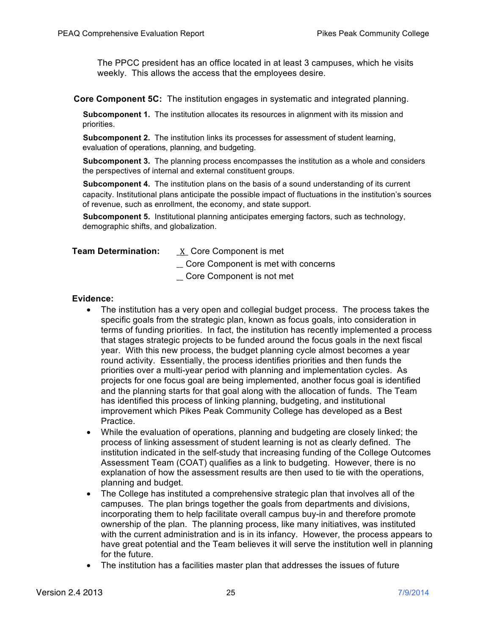The PPCC president has an office located in at least 3 campuses, which he visits weekly. This allows the access that the employees desire.

**Core Component 5C:** The institution engages in systematic and integrated planning.

**Subcomponent 1.** The institution allocates its resources in alignment with its mission and priorities.

**Subcomponent 2.** The institution links its processes for assessment of student learning, evaluation of operations, planning, and budgeting.

**Subcomponent 3.** The planning process encompasses the institution as a whole and considers the perspectives of internal and external constituent groups.

**Subcomponent 4.** The institution plans on the basis of a sound understanding of its current capacity. Institutional plans anticipate the possible impact of fluctuations in the institution's sources of revenue, such as enrollment, the economy, and state support.

**Subcomponent 5.** Institutional planning anticipates emerging factors, such as technology, demographic shifts, and globalization.

**Team Determination:** \_X\_ Core Component is met

\_\_ Core Component is met with concerns

\_\_ Core Component is not met

- The institution has a very open and collegial budget process. The process takes the specific goals from the strategic plan, known as focus goals, into consideration in terms of funding priorities. In fact, the institution has recently implemented a process that stages strategic projects to be funded around the focus goals in the next fiscal year. With this new process, the budget planning cycle almost becomes a year round activity. Essentially, the process identifies priorities and then funds the priorities over a multi-year period with planning and implementation cycles. As projects for one focus goal are being implemented, another focus goal is identified and the planning starts for that goal along with the allocation of funds. The Team has identified this process of linking planning, budgeting, and institutional improvement which Pikes Peak Community College has developed as a Best Practice.
- While the evaluation of operations, planning and budgeting are closely linked; the process of linking assessment of student learning is not as clearly defined. The institution indicated in the self-study that increasing funding of the College Outcomes Assessment Team (COAT) qualifies as a link to budgeting. However, there is no explanation of how the assessment results are then used to tie with the operations, planning and budget.
- The College has instituted a comprehensive strategic plan that involves all of the campuses. The plan brings together the goals from departments and divisions, incorporating them to help facilitate overall campus buy-in and therefore promote ownership of the plan. The planning process, like many initiatives, was instituted with the current administration and is in its infancy. However, the process appears to have great potential and the Team believes it will serve the institution well in planning for the future.
- The institution has a facilities master plan that addresses the issues of future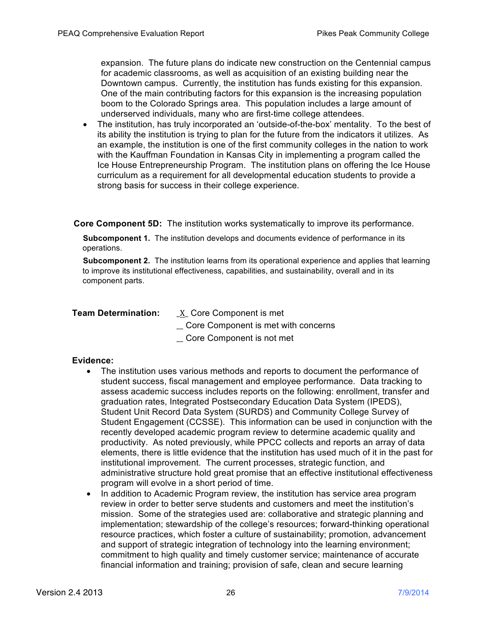expansion. The future plans do indicate new construction on the Centennial campus for academic classrooms, as well as acquisition of an existing building near the Downtown campus. Currently, the institution has funds existing for this expansion. One of the main contributing factors for this expansion is the increasing population boom to the Colorado Springs area. This population includes a large amount of underserved individuals, many who are first-time college attendees.

• The institution, has truly incorporated an 'outside-of-the-box' mentality. To the best of its ability the institution is trying to plan for the future from the indicators it utilizes. As an example, the institution is one of the first community colleges in the nation to work with the Kauffman Foundation in Kansas City in implementing a program called the Ice House Entrepreneurship Program. The institution plans on offering the Ice House curriculum as a requirement for all developmental education students to provide a strong basis for success in their college experience.

**Core Component 5D:** The institution works systematically to improve its performance.

**Subcomponent 1.** The institution develops and documents evidence of performance in its operations.

**Subcomponent 2.** The institution learns from its operational experience and applies that learning to improve its institutional effectiveness, capabilities, and sustainability, overall and in its component parts.

**Team Determination:** \_X\_ Core Component is met

- \_\_ Core Component is met with concerns
- \_\_ Core Component is not met

- The institution uses various methods and reports to document the performance of student success, fiscal management and employee performance. Data tracking to assess academic success includes reports on the following: enrollment, transfer and graduation rates, Integrated Postsecondary Education Data System (IPEDS), Student Unit Record Data System (SURDS) and Community College Survey of Student Engagement (CCSSE). This information can be used in conjunction with the recently developed academic program review to determine academic quality and productivity. As noted previously, while PPCC collects and reports an array of data elements, there is little evidence that the institution has used much of it in the past for institutional improvement. The current processes, strategic function, and administrative structure hold great promise that an effective institutional effectiveness program will evolve in a short period of time.
- In addition to Academic Program review, the institution has service area program review in order to better serve students and customers and meet the institution's mission. Some of the strategies used are: collaborative and strategic planning and implementation; stewardship of the college's resources; forward-thinking operational resource practices, which foster a culture of sustainability; promotion, advancement and support of strategic integration of technology into the learning environment; commitment to high quality and timely customer service; maintenance of accurate financial information and training; provision of safe, clean and secure learning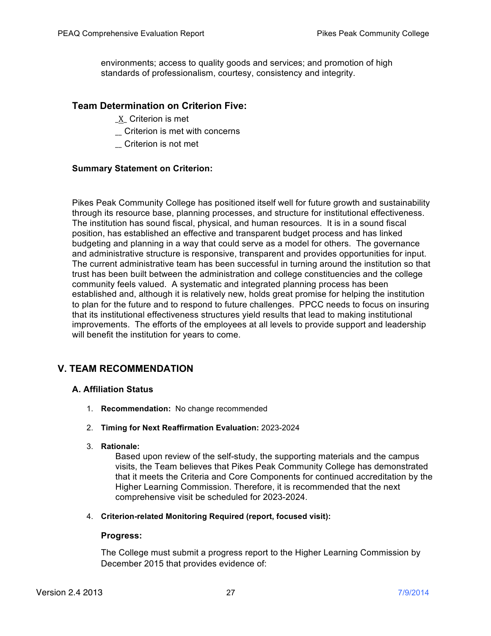environments; access to quality goods and services; and promotion of high standards of professionalism, courtesy, consistency and integrity.

# **Team Determination on Criterion Five:**

- \_X\_ Criterion is met
- \_\_ Criterion is met with concerns
- \_\_ Criterion is not met

# **Summary Statement on Criterion:**

Pikes Peak Community College has positioned itself well for future growth and sustainability through its resource base, planning processes, and structure for institutional effectiveness. The institution has sound fiscal, physical, and human resources. It is in a sound fiscal position, has established an effective and transparent budget process and has linked budgeting and planning in a way that could serve as a model for others. The governance and administrative structure is responsive, transparent and provides opportunities for input. The current administrative team has been successful in turning around the institution so that trust has been built between the administration and college constituencies and the college community feels valued. A systematic and integrated planning process has been established and, although it is relatively new, holds great promise for helping the institution to plan for the future and to respond to future challenges. PPCC needs to focus on insuring that its institutional effectiveness structures yield results that lead to making institutional improvements. The efforts of the employees at all levels to provide support and leadership will benefit the institution for years to come.

# **V. TEAM RECOMMENDATION**

# **A. Affiliation Status**

- 1. **Recommendation:** No change recommended
- 2. **Timing for Next Reaffirmation Evaluation:** 2023-2024
- 3. **Rationale:**

Based upon review of the self-study, the supporting materials and the campus visits, the Team believes that Pikes Peak Community College has demonstrated that it meets the Criteria and Core Components for continued accreditation by the Higher Learning Commission. Therefore, it is recommended that the next comprehensive visit be scheduled for 2023-2024.

4. **Criterion-related Monitoring Required (report, focused visit):**

### **Progress:**

The College must submit a progress report to the Higher Learning Commission by December 2015 that provides evidence of: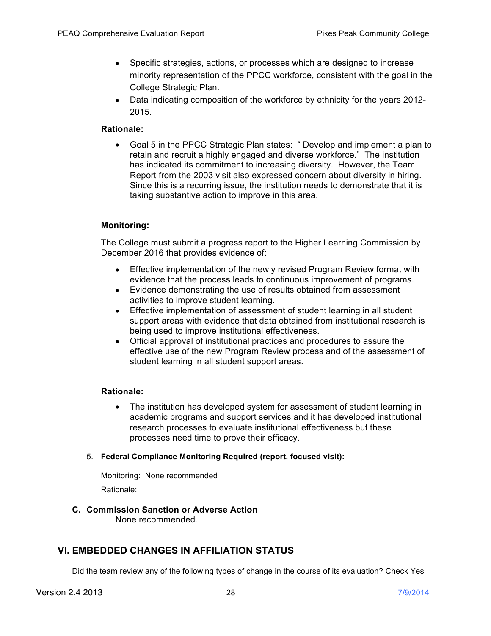- Specific strategies, actions, or processes which are designed to increase minority representation of the PPCC workforce, consistent with the goal in the College Strategic Plan.
- Data indicating composition of the workforce by ethnicity for the years 2012- 2015.

### **Rationale:**

• Goal 5 in the PPCC Strategic Plan states: " Develop and implement a plan to retain and recruit a highly engaged and diverse workforce." The institution has indicated its commitment to increasing diversity. However, the Team Report from the 2003 visit also expressed concern about diversity in hiring. Since this is a recurring issue, the institution needs to demonstrate that it is taking substantive action to improve in this area.

# **Monitoring:**

The College must submit a progress report to the Higher Learning Commission by December 2016 that provides evidence of:

- Effective implementation of the newly revised Program Review format with evidence that the process leads to continuous improvement of programs.
- Evidence demonstrating the use of results obtained from assessment activities to improve student learning.
- Effective implementation of assessment of student learning in all student support areas with evidence that data obtained from institutional research is being used to improve institutional effectiveness.
- Official approval of institutional practices and procedures to assure the effective use of the new Program Review process and of the assessment of student learning in all student support areas.

### **Rationale:**

- The institution has developed system for assessment of student learning in academic programs and support services and it has developed institutional research processes to evaluate institutional effectiveness but these processes need time to prove their efficacy.
- 5. **Federal Compliance Monitoring Required (report, focused visit):**

Monitoring: None recommended Rationale:

# **C. Commission Sanction or Adverse Action**

None recommended.

# **VI. EMBEDDED CHANGES IN AFFILIATION STATUS**

Did the team review any of the following types of change in the course of its evaluation? Check Yes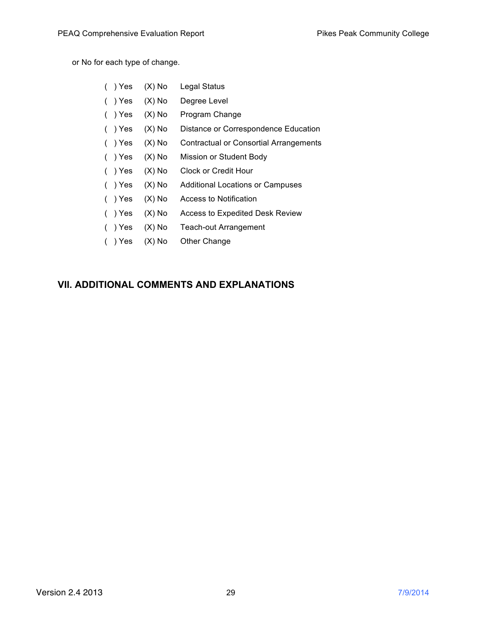or No for each type of change.

| ( ) Yes   | $(X)$ No | Legal Status                           |
|-----------|----------|----------------------------------------|
| ( ) Yes   | $(X)$ No | Degree Level                           |
| ( ) Yes   | $(X)$ No | Program Change                         |
| ()Yes     | $(X)$ No | Distance or Correspondence Education   |
| ( ) Yes   | $(X)$ No | Contractual or Consortial Arrangements |
| ( ) Yes   | $(X)$ No | Mission or Student Body                |
| $( )$ Yes | $(X)$ No | <b>Clock or Credit Hour</b>            |
| $( )$ Yes | $(X)$ No | Additional Locations or Campuses       |
| $( )$ Yes | $(X)$ No | Access to Notification                 |
| )Yes      | $(X)$ No | Access to Expedited Desk Review        |
| ) Yes     | $(X)$ No | Teach-out Arrangement                  |
| $( )$ Yes | $(X)$ No | Other Change                           |

# **VII. ADDITIONAL COMMENTS AND EXPLANATIONS**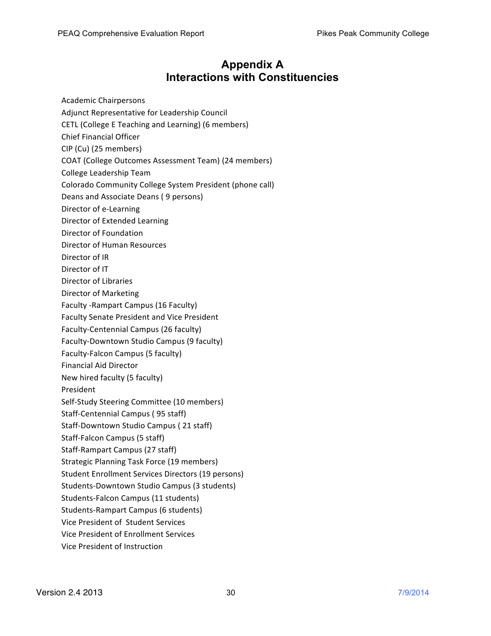# **Appendix A Interactions with Constituencies**

- Academic Chairpersons
- Adjunct Representative for Leadership Council
- CETL (College E Teaching and Learning) (6 members)
- Chief Financial Officer
- CIP (Cu) (25 members)
- COAT (College Outcomes Assessment Team) (24 members)
- College Leadership Team
- Colorado Community College System President (phone call)
- Deans and Associate Deans (9 persons)
- Director of e-Learning
- Director of Extended Learning
- Director of Foundation
- Director of Human Resources
- Director of IR
- Director of IT
- Director of Libraries
- Director of Marketing
- Faculty -Rampart Campus (16 Faculty)
- Faculty Senate President and Vice President
- Faculty-Centennial Campus (26 faculty)
- Faculty-Downtown Studio Campus (9 faculty)
- Faculty-Falcon Campus (5 faculty)
- Financial Aid Director
- New hired faculty (5 faculty)
- President
- Self-Study Steering Committee (10 members)
- Staff-Centennial Campus (95 staff)
- Staff-Downtown Studio Campus (21 staff)
- Staff-Falcon Campus (5 staff)
- Staff-Rampart Campus (27 staff)
- Strategic Planning Task Force (19 members)
- Student Enrollment Services Directors (19 persons)
- Students-Downtown Studio Campus (3 students)
- Students-Falcon Campus (11 students)
- Students-Rampart Campus (6 students)
- Vice President of Student Services
- Vice President of Enrollment Services
- Vice President of Instruction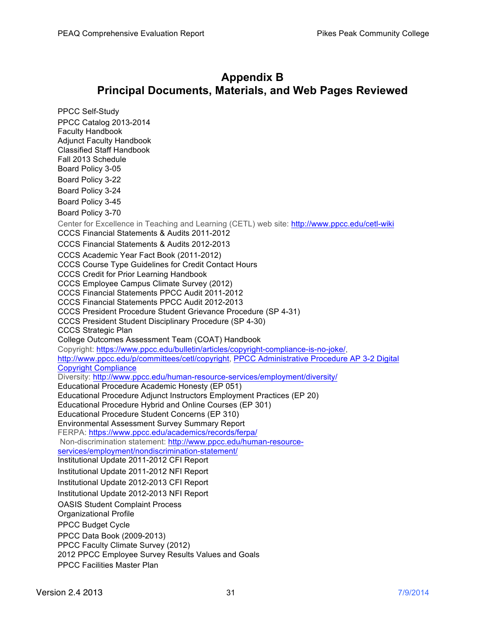# **Appendix B Principal Documents, Materials, and Web Pages Reviewed**

PPCC Self-Study PPCC Catalog 2013-2014 Faculty Handbook Adjunct Faculty Handbook Classified Staff Handbook Fall 2013 Schedule Board Policy 3-05 Board Policy 3-22 Board Policy 3-24 Board Policy 3-45 Board Policy 3-70 Center for Excellence in Teaching and Learning (CETL) web site: http://www.ppcc.edu/cetl-wiki CCCS Financial Statements & Audits 2011-2012 CCCS Financial Statements & Audits 2012-2013 CCCS Academic Year Fact Book (2011-2012) CCCS Course Type Guidelines for Credit Contact Hours CCCS Credit for Prior Learning Handbook CCCS Employee Campus Climate Survey (2012) CCCS Financial Statements PPCC Audit 2011-2012 CCCS Financial Statements PPCC Audit 2012-2013 CCCS President Procedure Student Grievance Procedure (SP 4-31) CCCS President Student Disciplinary Procedure (SP 4-30) CCCS Strategic Plan College Outcomes Assessment Team (COAT) Handbook Copyright: https://www.ppcc.edu/bulletin/articles/copyright-compliance-is-no-joke/, http://www.ppcc.edu/p/committees/cetl/copyright, PPCC Administrative Procedure AP 3-2 Digital Copyright Compliance Diversity: http://www.ppcc.edu/human-resource-services/employment/diversity/ Educational Procedure Academic Honesty (EP 051) Educational Procedure Adjunct Instructors Employment Practices (EP 20) Educational Procedure Hybrid and Online Courses (EP 301) Educational Procedure Student Concerns (EP 310) Environmental Assessment Survey Summary Report FERPA: https://www.ppcc.edu/academics/records/ferpa/ Non-discrimination statement: http://www.ppcc.edu/human-resourceservices/employment/nondiscrimination-statement/ Institutional Update 2011-2012 CFI Report Institutional Update 2011-2012 NFI Report Institutional Update 2012-2013 CFI Report Institutional Update 2012-2013 NFI Report OASIS Student Complaint Process Organizational Profile PPCC Budget Cycle PPCC Data Book (2009-2013) PPCC Faculty Climate Survey (2012) 2012 PPCC Employee Survey Results Values and Goals PPCC Facilities Master Plan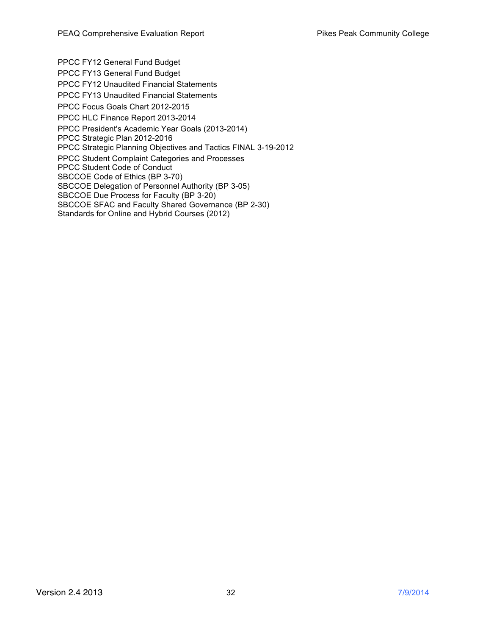PPCC FY12 General Fund Budget PPCC FY13 General Fund Budget PPCC FY12 Unaudited Financial Statements PPCC FY13 Unaudited Financial Statements PPCC Focus Goals Chart 2012-2015 PPCC HLC Finance Report 2013-2014 PPCC President's Academic Year Goals (2013-2014) PPCC Strategic Plan 2012-2016 PPCC Strategic Planning Objectives and Tactics FINAL 3-19-2012 PPCC Student Complaint Categories and Processes PPCC Student Code of Conduct SBCCOE Code of Ethics (BP 3-70) SBCCOE Delegation of Personnel Authority (BP 3-05) SBCCOE Due Process for Faculty (BP 3-20) SBCCOE SFAC and Faculty Shared Governance (BP 2-30) Standards for Online and Hybrid Courses (2012)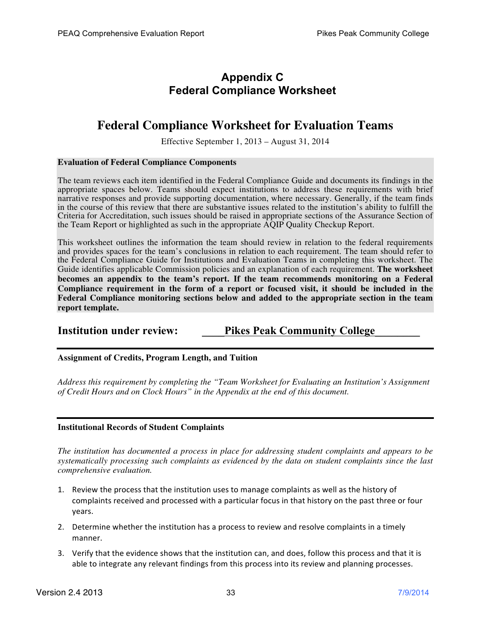# **Appendix C Federal Compliance Worksheet**

# **Federal Compliance Worksheet for Evaluation Teams**

Effective September 1, 2013 – August 31, 2014

### **Evaluation of Federal Compliance Components**

The team reviews each item identified in the Federal Compliance Guide and documents its findings in the appropriate spaces below. Teams should expect institutions to address these requirements with brief narrative responses and provide supporting documentation, where necessary. Generally, if the team finds in the course of this review that there are substantive issues related to the institution's ability to fulfill the Criteria for Accreditation, such issues should be raised in appropriate sections of the Assurance Section of the Team Report or highlighted as such in the appropriate AQIP Quality Checkup Report.

This worksheet outlines the information the team should review in relation to the federal requirements and provides spaces for the team's conclusions in relation to each requirement. The team should refer to the Federal Compliance Guide for Institutions and Evaluation Teams in completing this worksheet. The Guide identifies applicable Commission policies and an explanation of each requirement. **The worksheet becomes an appendix to the team's report. If the team recommends monitoring on a Federal Compliance requirement in the form of a report or focused visit, it should be included in the Federal Compliance monitoring sections below and added to the appropriate section in the team report template.**

# **Institution under review: Pikes Peak Community College**

**Assignment of Credits, Program Length, and Tuition**

*Address this requirement by completing the "Team Worksheet for Evaluating an Institution's Assignment of Credit Hours and on Clock Hours" in the Appendix at the end of this document.*

### **Institutional Records of Student Complaints**

*The institution has documented a process in place for addressing student complaints and appears to be systematically processing such complaints as evidenced by the data on student complaints since the last comprehensive evaluation.*

- 1. Review the process that the institution uses to manage complaints as well as the history of complaints received and processed with a particular focus in that history on the past three or four years.
- 2. Determine whether the institution has a process to review and resolve complaints in a timely manner.
- 3. Verify that the evidence shows that the institution can, and does, follow this process and that it is able to integrate any relevant findings from this process into its review and planning processes.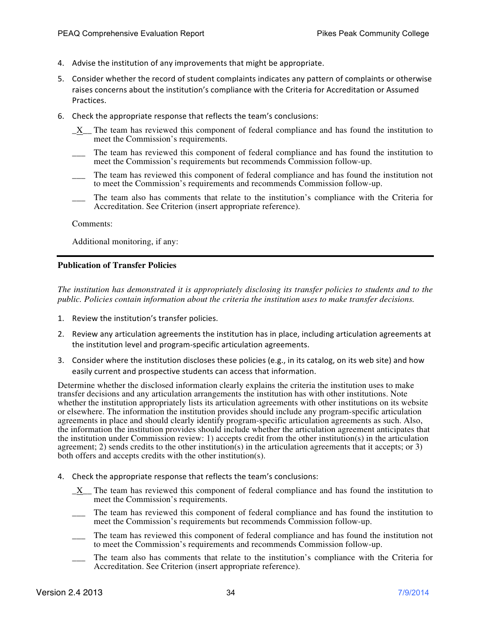- 4. Advise the institution of any improvements that might be appropriate.
- 5. Consider whether the record of student complaints indicates any pattern of complaints or otherwise raises concerns about the institution's compliance with the Criteria for Accreditation or Assumed Practices.
- 6. Check the appropriate response that reflects the team's conclusions:
	- \_X\_\_ The team has reviewed this component of federal compliance and has found the institution to meet the Commission's requirements.
	- The team has reviewed this component of federal compliance and has found the institution to meet the Commission's requirements but recommends Commission follow-up.
	- \_\_\_ The team has reviewed this component of federal compliance and has found the institution not to meet the Commission's requirements and recommends Commission follow-up.
	- \_\_\_ The team also has comments that relate to the institution's compliance with the Criteria for Accreditation. See Criterion (insert appropriate reference).

Additional monitoring, if any:

### **Publication of Transfer Policies**

*The institution has demonstrated it is appropriately disclosing its transfer policies to students and to the public. Policies contain information about the criteria the institution uses to make transfer decisions.* 

- 1. Review the institution's transfer policies.
- 2. Review any articulation agreements the institution has in place, including articulation agreements at the institution level and program-specific articulation agreements.
- 3. Consider where the institution discloses these policies (e.g., in its catalog, on its web site) and how easily current and prospective students can access that information.

Determine whether the disclosed information clearly explains the criteria the institution uses to make transfer decisions and any articulation arrangements the institution has with other institutions. Note whether the institution appropriately lists its articulation agreements with other institutions on its website or elsewhere. The information the institution provides should include any program-specific articulation agreements in place and should clearly identify program-specific articulation agreements as such. Also, the information the institution provides should include whether the articulation agreement anticipates that the institution under Commission review: 1) accepts credit from the other institution(s) in the articulation agreement; 2) sends credits to the other institution(s) in the articulation agreements that it accepts; or 3) both offers and accepts credits with the other institution(s).

- 4. Check the appropriate response that reflects the team's conclusions:
	- \_X\_\_ The team has reviewed this component of federal compliance and has found the institution to meet the Commission's requirements.
	- \_\_\_ The team has reviewed this component of federal compliance and has found the institution to meet the Commission's requirements but recommends Commission follow-up.
	- \_\_\_ The team has reviewed this component of federal compliance and has found the institution not to meet the Commission's requirements and recommends Commission follow-up.
	- The team also has comments that relate to the institution's compliance with the Criteria for Accreditation. See Criterion (insert appropriate reference).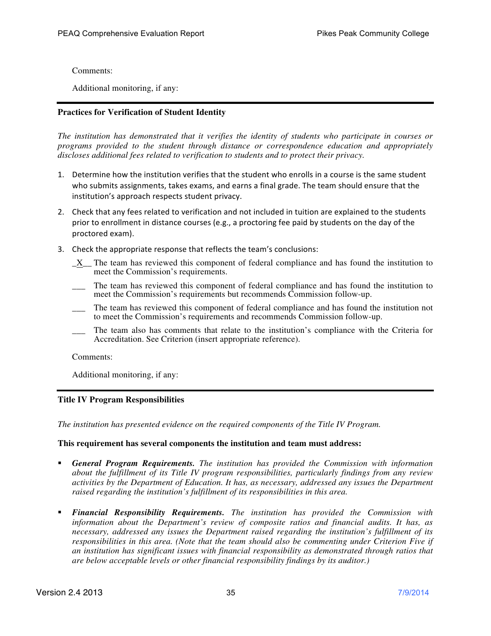Additional monitoring, if any:

### **Practices for Verification of Student Identity**

*The institution has demonstrated that it verifies the identity of students who participate in courses or programs provided to the student through distance or correspondence education and appropriately discloses additional fees related to verification to students and to protect their privacy.* 

- 1. Determine how the institution verifies that the student who enrolls in a course is the same student who submits assignments, takes exams, and earns a final grade. The team should ensure that the institution's approach respects student privacy.
- 2. Check that any fees related to verification and not included in tuition are explained to the students prior to enrollment in distance courses (e.g., a proctoring fee paid by students on the day of the proctored exam).
- 3. Check the appropriate response that reflects the team's conclusions:
	- \_X\_\_ The team has reviewed this component of federal compliance and has found the institution to meet the Commission's requirements.
	- The team has reviewed this component of federal compliance and has found the institution to meet the Commission's requirements but recommends Commission follow-up.
	- \_\_\_ The team has reviewed this component of federal compliance and has found the institution not to meet the Commission's requirements and recommends Commission follow-up.
	- The team also has comments that relate to the institution's compliance with the Criteria for Accreditation. See Criterion (insert appropriate reference).

Comments:

Additional monitoring, if any:

### **Title IV Program Responsibilities**

*The institution has presented evidence on the required components of the Title IV Program.*

### **This requirement has several components the institution and team must address:**

- *General Program Requirements. The institution has provided the Commission with information about the fulfillment of its Title IV program responsibilities, particularly findings from any review activities by the Department of Education. It has, as necessary, addressed any issues the Department raised regarding the institution's fulfillment of its responsibilities in this area.*
- *Financial Responsibility Requirements. The institution has provided the Commission with information about the Department's review of composite ratios and financial audits. It has, as necessary, addressed any issues the Department raised regarding the institution's fulfillment of its responsibilities in this area. (Note that the team should also be commenting under Criterion Five if an institution has significant issues with financial responsibility as demonstrated through ratios that are below acceptable levels or other financial responsibility findings by its auditor.)*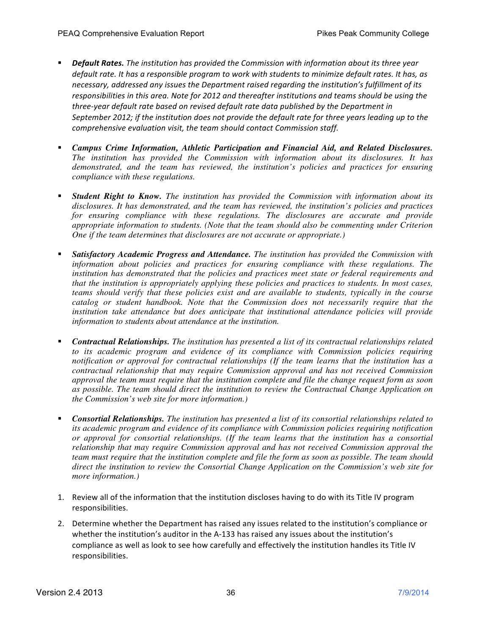- **Pefault Rates.** The institution has provided the Commission with information about its three year *default rate. It has a responsible program to work with students to minimize default rates. It has, as* necessary, addressed any issues the Department raised regarding the institution's fulfillment of its responsibilities in this area. Note for 2012 and thereafter institutions and teams should be using the three-year default rate based on revised default rate data published by the Department in September 2012; if the institution does not provide the default rate for three years leading up to the *comprehensive evaluation visit, the team should contact Commission staff.*
- *Campus Crime Information, Athletic Participation and Financial Aid, and Related Disclosures. The institution has provided the Commission with information about its disclosures. It has demonstrated, and the team has reviewed, the institution's policies and practices for ensuring compliance with these regulations.*
- *Student Right to Know. The institution has provided the Commission with information about its disclosures. It has demonstrated, and the team has reviewed, the institution's policies and practices for ensuring compliance with these regulations. The disclosures are accurate and provide appropriate information to students. (Note that the team should also be commenting under Criterion One if the team determines that disclosures are not accurate or appropriate.)*
- *Satisfactory Academic Progress and Attendance. The institution has provided the Commission with*  information about policies and practices for ensuring compliance with these regulations. The *institution has demonstrated that the policies and practices meet state or federal requirements and that the institution is appropriately applying these policies and practices to students. In most cases, teams should verify that these policies exist and are available to students, typically in the course catalog or student handbook. Note that the Commission does not necessarily require that the institution take attendance but does anticipate that institutional attendance policies will provide information to students about attendance at the institution.*
- *Contractual Relationships. The institution has presented a list of its contractual relationships related to its academic program and evidence of its compliance with Commission policies requiring notification or approval for contractual relationships (If the team learns that the institution has a contractual relationship that may require Commission approval and has not received Commission approval the team must require that the institution complete and file the change request form as soon as possible. The team should direct the institution to review the Contractual Change Application on the Commission's web site for more information.)*
- *Consortial Relationships. The institution has presented a list of its consortial relationships related to its academic program and evidence of its compliance with Commission policies requiring notification or approval for consortial relationships. (If the team learns that the institution has a consortial relationship that may require Commission approval and has not received Commission approval the team must require that the institution complete and file the form as soon as possible. The team should direct the institution to review the Consortial Change Application on the Commission's web site for more information.)*
- 1. Review all of the information that the institution discloses having to do with its Title IV program responsibilities.
- 2. Determine whether the Department has raised any issues related to the institution's compliance or whether the institution's auditor in the A-133 has raised any issues about the institution's compliance as well as look to see how carefully and effectively the institution handles its Title IV responsibilities.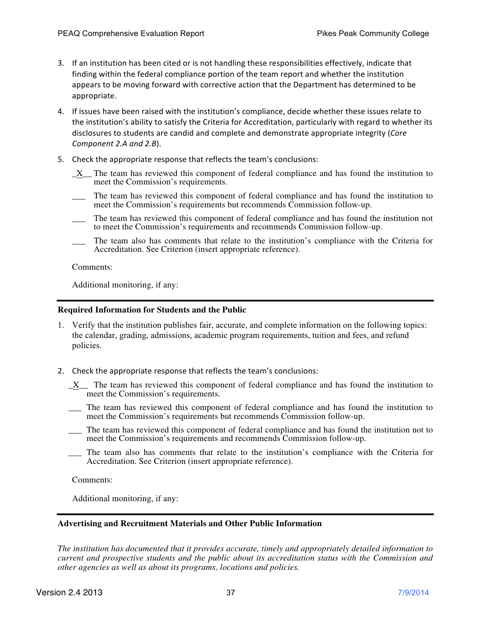- 3. If an institution has been cited or is not handling these responsibilities effectively, indicate that finding within the federal compliance portion of the team report and whether the institution appears to be moving forward with corrective action that the Department has determined to be appropriate.
- 4. If issues have been raised with the institution's compliance, decide whether these issues relate to the institution's ability to satisfy the Criteria for Accreditation, particularly with regard to whether its disclosures to students are candid and complete and demonstrate appropriate integrity (Core *Component 2.A and 2.B*).
- 5. Check the appropriate response that reflects the team's conclusions:
	- \_X\_\_ The team has reviewed this component of federal compliance and has found the institution to meet the Commission's requirements.
	- The team has reviewed this component of federal compliance and has found the institution to meet the Commission's requirements but recommends Commission follow-up.
	- \_\_\_ The team has reviewed this component of federal compliance and has found the institution not to meet the Commission's requirements and recommends Commission follow-up.
	- The team also has comments that relate to the institution's compliance with the Criteria for Accreditation. See Criterion (insert appropriate reference).

Additional monitoring, if any:

### **Required Information for Students and the Public**

- 1. Verify that the institution publishes fair, accurate, and complete information on the following topics: the calendar, grading, admissions, academic program requirements, tuition and fees, and refund policies.
- 2. Check the appropriate response that reflects the team's conclusions:
	- $X$  The team has reviewed this component of federal compliance and has found the institution to meet the Commission's requirements.
	- \_\_\_ The team has reviewed this component of federal compliance and has found the institution to meet the Commission's requirements but recommends Commission follow-up.
	- \_\_\_ The team has reviewed this component of federal compliance and has found the institution not to meet the Commission's requirements and recommends Commission follow-up.
	- The team also has comments that relate to the institution's compliance with the Criteria for Accreditation. See Criterion (insert appropriate reference).

Comments:

Additional monitoring, if any:

### **Advertising and Recruitment Materials and Other Public Information**

*The institution has documented that it provides accurate, timely and appropriately detailed information to current and prospective students and the public about its accreditation status with the Commission and other agencies as well as about its programs, locations and policies.*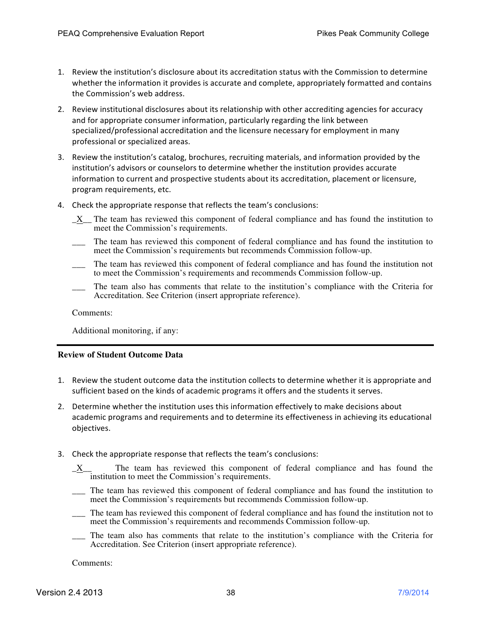- 1. Review the institution's disclosure about its accreditation status with the Commission to determine whether the information it provides is accurate and complete, appropriately formatted and contains the Commission's web address.
- 2. Review institutional disclosures about its relationship with other accrediting agencies for accuracy and for appropriate consumer information, particularly regarding the link between specialized/professional accreditation and the licensure necessary for employment in many professional or specialized areas.
- 3. Review the institution's catalog, brochures, recruiting materials, and information provided by the institution's advisors or counselors to determine whether the institution provides accurate information to current and prospective students about its accreditation, placement or licensure, program requirements, etc.
- 4. Check the appropriate response that reflects the team's conclusions:
	- \_X\_\_ The team has reviewed this component of federal compliance and has found the institution to meet the Commission's requirements.
	- The team has reviewed this component of federal compliance and has found the institution to meet the Commission's requirements but recommends Commission follow-up.
	- \_\_\_ The team has reviewed this component of federal compliance and has found the institution not to meet the Commission's requirements and recommends Commission follow-up.
	- The team also has comments that relate to the institution's compliance with the Criteria for Accreditation. See Criterion (insert appropriate reference).

Additional monitoring, if any:

### **Review of Student Outcome Data**

- 1. Review the student outcome data the institution collects to determine whether it is appropriate and sufficient based on the kinds of academic programs it offers and the students it serves.
- 2. Determine whether the institution uses this information effectively to make decisions about academic programs and requirements and to determine its effectiveness in achieving its educational objectives.
- 3. Check the appropriate response that reflects the team's conclusions:
	- \_X\_\_ The team has reviewed this component of federal compliance and has found the institution to meet the Commission's requirements.
	- \_\_\_ The team has reviewed this component of federal compliance and has found the institution to meet the Commission's requirements but recommends Commission follow-up.
	- \_\_\_ The team has reviewed this component of federal compliance and has found the institution not to meet the Commission's requirements and recommends Commission follow-up.
	- \_\_\_ The team also has comments that relate to the institution's compliance with the Criteria for Accreditation. See Criterion (insert appropriate reference).

Comments: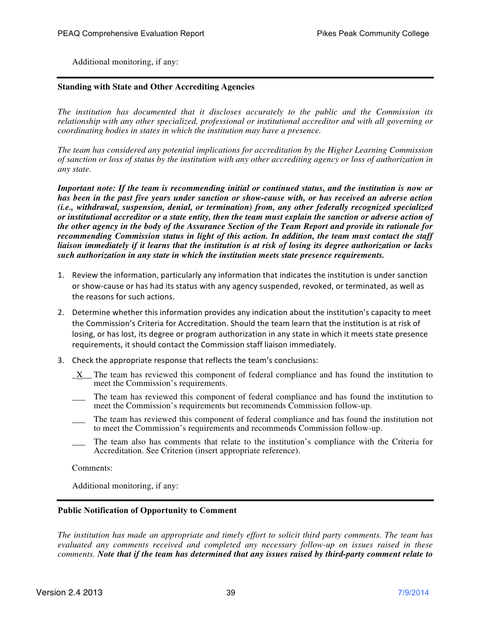Additional monitoring, if any:

### **Standing with State and Other Accrediting Agencies**

*The institution has documented that it discloses accurately to the public and the Commission its relationship with any other specialized, professional or institutional accreditor and with all governing or coordinating bodies in states in which the institution may have a presence.*

*The team has considered any potential implications for accreditation by the Higher Learning Commission of sanction or loss of status by the institution with any other accrediting agency or loss of authorization in any state.*

*Important note: If the team is recommending initial or continued status, and the institution is now or has been in the past five years under sanction or show-cause with, or has received an adverse action (i.e., withdrawal, suspension, denial, or termination) from, any other federally recognized specialized or institutional accreditor or a state entity, then the team must explain the sanction or adverse action of the other agency in the body of the Assurance Section of the Team Report and provide its rationale for recommending Commission status in light of this action. In addition, the team must contact the staff liaison immediately if it learns that the institution is at risk of losing its degree authorization or lacks such authorization in any state in which the institution meets state presence requirements.*

- 1. Review the information, particularly any information that indicates the institution is under sanction or show-cause or has had its status with any agency suspended, revoked, or terminated, as well as the reasons for such actions.
- 2. Determine whether this information provides any indication about the institution's capacity to meet the Commission's Criteria for Accreditation. Should the team learn that the institution is at risk of losing, or has lost, its degree or program authorization in any state in which it meets state presence requirements, it should contact the Commission staff liaison immediately.
- 3. Check the appropriate response that reflects the team's conclusions:
	- \_X\_\_ The team has reviewed this component of federal compliance and has found the institution to meet the Commission's requirements.
	- The team has reviewed this component of federal compliance and has found the institution to meet the Commission's requirements but recommends Commission follow-up.
	- \_\_\_ The team has reviewed this component of federal compliance and has found the institution not to meet the Commission's requirements and recommends Commission follow-up.
	- The team also has comments that relate to the institution's compliance with the Criteria for Accreditation. See Criterion (insert appropriate reference).

Comments:

Additional monitoring, if any:

### **Public Notification of Opportunity to Comment**

*The institution has made an appropriate and timely effort to solicit third party comments. The team has evaluated any comments received and completed any necessary follow-up on issues raised in these comments. Note that if the team has determined that any issues raised by third-party comment relate to*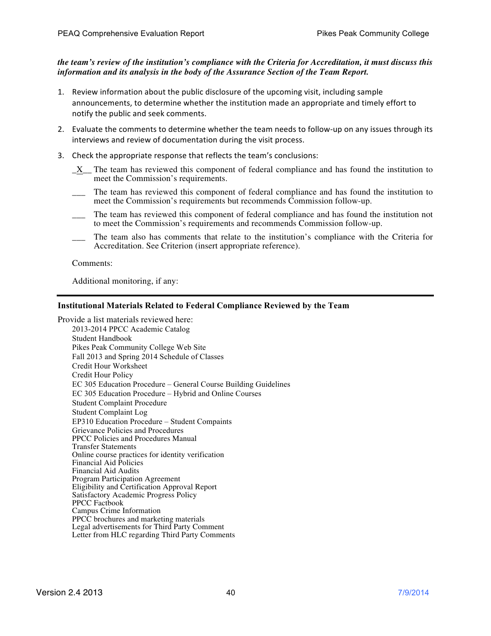### *the team's review of the institution's compliance with the Criteria for Accreditation, it must discuss this information and its analysis in the body of the Assurance Section of the Team Report.*

- 1. Review information about the public disclosure of the upcoming visit, including sample announcements, to determine whether the institution made an appropriate and timely effort to notify the public and seek comments.
- 2. Evaluate the comments to determine whether the team needs to follow-up on any issues through its interviews and review of documentation during the visit process.
- 3. Check the appropriate response that reflects the team's conclusions:
	- \_X\_\_ The team has reviewed this component of federal compliance and has found the institution to meet the Commission's requirements.
	- The team has reviewed this component of federal compliance and has found the institution to meet the Commission's requirements but recommends Commission follow-up.
	- \_\_\_ The team has reviewed this component of federal compliance and has found the institution not to meet the Commission's requirements and recommends Commission follow-up.
	- \_\_\_ The team also has comments that relate to the institution's compliance with the Criteria for Accreditation. See Criterion (insert appropriate reference).

Comments:

Additional monitoring, if any:

### **Institutional Materials Related to Federal Compliance Reviewed by the Team**

Provide a list materials reviewed here: 2013-2014 PPCC Academic Catalog Student Handbook Pikes Peak Community College Web Site Fall 2013 and Spring 2014 Schedule of Classes Credit Hour Worksheet Credit Hour Policy EC 305 Education Procedure – General Course Building Guidelines EC 305 Education Procedure – Hybrid and Online Courses Student Complaint Procedure Student Complaint Log EP310 Education Procedure – Student Compaints Grievance Policies and Procedures PPCC Policies and Procedures Manual Transfer Statements Online course practices for identity verification Financial Aid Policies Financial Aid Audits Program Participation Agreement Eligibility and Certification Approval Report Satisfactory Academic Progress Policy PPCC Factbook Campus Crime Information PPCC brochures and marketing materials Legal advertisements for Third Party Comment Letter from HLC regarding Third Party Comments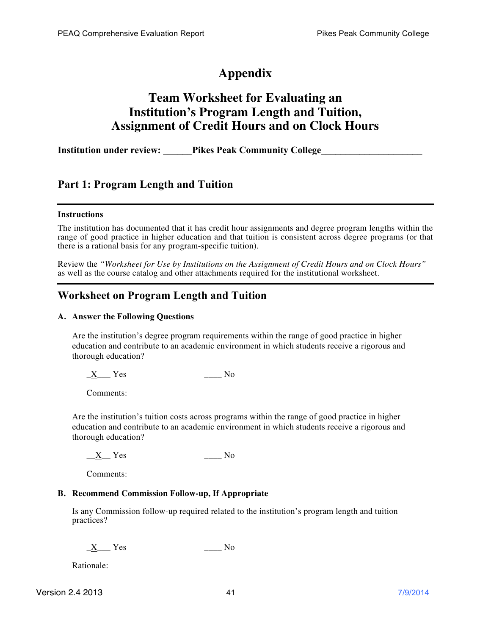# **Appendix**

# **Team Worksheet for Evaluating an Institution's Program Length and Tuition, Assignment of Credit Hours and on Clock Hours**

**Institution under review: Pikes Peak Community College** 

# **Part 1: Program Length and Tuition**

### **Instructions**

The institution has documented that it has credit hour assignments and degree program lengths within the range of good practice in higher education and that tuition is consistent across degree programs (or that there is a rational basis for any program-specific tuition).

Review the *"Worksheet for Use by Institutions on the Assignment of Credit Hours and on Clock Hours"* as well as the course catalog and other attachments required for the institutional worksheet.

# **Worksheet on Program Length and Tuition**

### **A. Answer the Following Questions**

Are the institution's degree program requirements within the range of good practice in higher education and contribute to an academic environment in which students receive a rigorous and thorough education?

 $X$   $Y$ es  $N$ o

Comments:

Are the institution's tuition costs across programs within the range of good practice in higher education and contribute to an academic environment in which students receive a rigorous and thorough education?

X Yes No

Comments:

### **B. Recommend Commission Follow-up, If Appropriate**

Is any Commission follow-up required related to the institution's program length and tuition practices?

 $X$  Yes  $N<sub>0</sub>$ 

Rationale: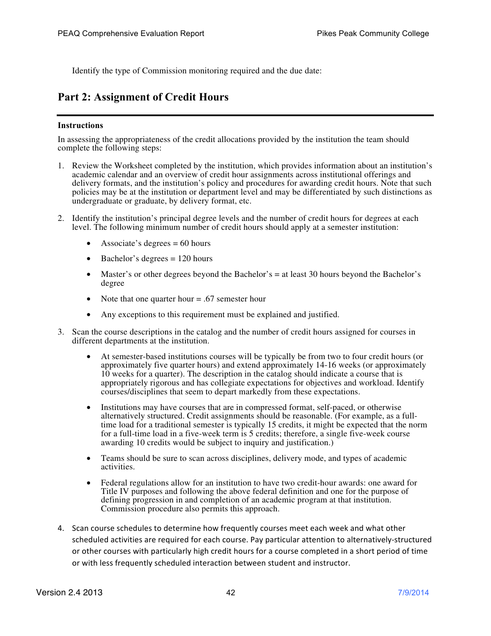Identify the type of Commission monitoring required and the due date:

# **Part 2: Assignment of Credit Hours**

### **Instructions**

In assessing the appropriateness of the credit allocations provided by the institution the team should complete the following steps:

- 1. Review the Worksheet completed by the institution, which provides information about an institution's academic calendar and an overview of credit hour assignments across institutional offerings and delivery formats, and the institution's policy and procedures for awarding credit hours. Note that such policies may be at the institution or department level and may be differentiated by such distinctions as undergraduate or graduate, by delivery format, etc.
- 2. Identify the institution's principal degree levels and the number of credit hours for degrees at each level. The following minimum number of credit hours should apply at a semester institution:
	- Associate's degrees  $= 60$  hours
	- Bachelor's degrees  $= 120$  hours
	- Master's or other degrees beyond the Bachelor's = at least 30 hours beyond the Bachelor's degree
	- Note that one quarter hour = .67 semester hour
	- Any exceptions to this requirement must be explained and justified.
- 3. Scan the course descriptions in the catalog and the number of credit hours assigned for courses in different departments at the institution.
	- At semester-based institutions courses will be typically be from two to four credit hours (or approximately five quarter hours) and extend approximately 14-16 weeks (or approximately 10 weeks for a quarter). The description in the catalog should indicate a course that is appropriately rigorous and has collegiate expectations for objectives and workload. Identify courses/disciplines that seem to depart markedly from these expectations.
	- Institutions may have courses that are in compressed format, self-paced, or otherwise alternatively structured. Credit assignments should be reasonable. (For example, as a fulltime load for a traditional semester is typically 15 credits, it might be expected that the norm for a full-time load in a five-week term is 5 credits; therefore, a single five-week course awarding 10 credits would be subject to inquiry and justification.)
	- Teams should be sure to scan across disciplines, delivery mode, and types of academic activities.
	- Federal regulations allow for an institution to have two credit-hour awards: one award for Title IV purposes and following the above federal definition and one for the purpose of defining progression in and completion of an academic program at that institution. Commission procedure also permits this approach.
- 4. Scan course schedules to determine how frequently courses meet each week and what other scheduled activities are required for each course. Pay particular attention to alternatively-structured or other courses with particularly high credit hours for a course completed in a short period of time or with less frequently scheduled interaction between student and instructor.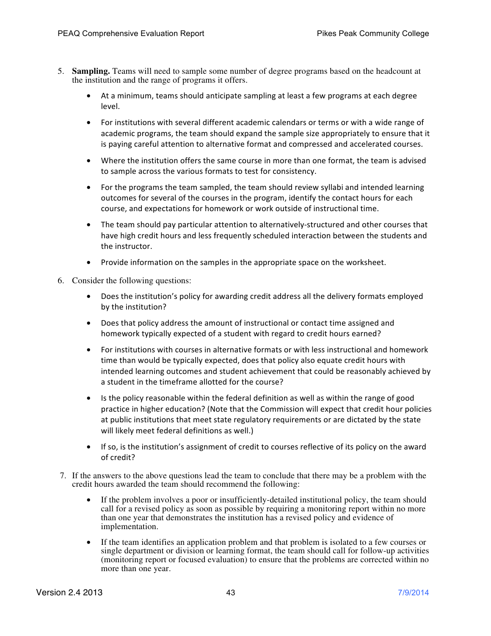- 5. **Sampling.** Teams will need to sample some number of degree programs based on the headcount at the institution and the range of programs it offers.
	- At a minimum, teams should anticipate sampling at least a few programs at each degree level.
	- For institutions with several different academic calendars or terms or with a wide range of academic programs, the team should expand the sample size appropriately to ensure that it is paying careful attention to alternative format and compressed and accelerated courses.
	- Where the institution offers the same course in more than one format, the team is advised to sample across the various formats to test for consistency.
	- For the programs the team sampled, the team should review syllabi and intended learning outcomes for several of the courses in the program, identify the contact hours for each course, and expectations for homework or work outside of instructional time.
	- The team should pay particular attention to alternatively-structured and other courses that have high credit hours and less frequently scheduled interaction between the students and the instructor.
	- Provide information on the samples in the appropriate space on the worksheet.
- 6. Consider the following questions:
	- Does the institution's policy for awarding credit address all the delivery formats employed by the institution?
	- Does that policy address the amount of instructional or contact time assigned and homework typically expected of a student with regard to credit hours earned?
	- For institutions with courses in alternative formats or with less instructional and homework time than would be typically expected, does that policy also equate credit hours with intended learning outcomes and student achievement that could be reasonably achieved by a student in the timeframe allotted for the course?
	- Is the policy reasonable within the federal definition as well as within the range of good practice in higher education? (Note that the Commission will expect that credit hour policies at public institutions that meet state regulatory requirements or are dictated by the state will likely meet federal definitions as well.)
	- If so, is the institution's assignment of credit to courses reflective of its policy on the award of credit?
- 7. If the answers to the above questions lead the team to conclude that there may be a problem with the credit hours awarded the team should recommend the following:
	- If the problem involves a poor or insufficiently-detailed institutional policy, the team should call for a revised policy as soon as possible by requiring a monitoring report within no more than one year that demonstrates the institution has a revised policy and evidence of implementation.
	- If the team identifies an application problem and that problem is isolated to a few courses or single department or division or learning format, the team should call for follow-up activities (monitoring report or focused evaluation) to ensure that the problems are corrected within no more than one year.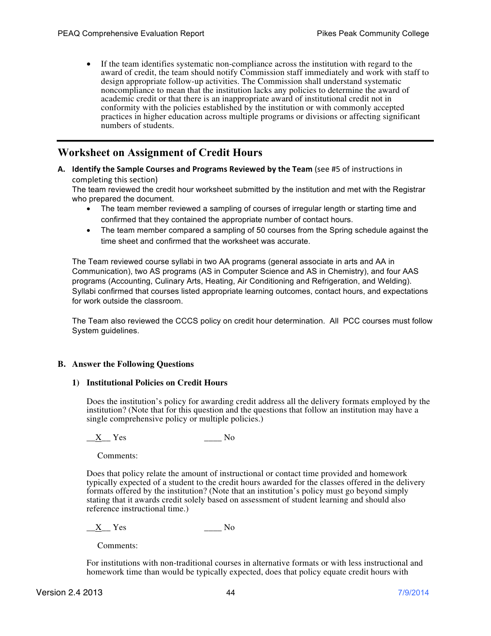• If the team identifies systematic non-compliance across the institution with regard to the award of credit, the team should notify Commission staff immediately and work with staff to design appropriate follow-up activities. The Commission shall understand systematic noncompliance to mean that the institution lacks any policies to determine the award of academic credit or that there is an inappropriate award of institutional credit not in conformity with the policies established by the institution or with commonly accepted practices in higher education across multiple programs or divisions or affecting significant numbers of students.

# **Worksheet on Assignment of Credit Hours**

A. Identify the Sample Courses and Programs Reviewed by the Team (see #5 of instructions in completing this section)

The team reviewed the credit hour worksheet submitted by the institution and met with the Registrar who prepared the document.

- The team member reviewed a sampling of courses of irregular length or starting time and confirmed that they contained the appropriate number of contact hours.
- The team member compared a sampling of 50 courses from the Spring schedule against the time sheet and confirmed that the worksheet was accurate.

The Team reviewed course syllabi in two AA programs (general associate in arts and AA in Communication), two AS programs (AS in Computer Science and AS in Chemistry), and four AAS programs (Accounting, Culinary Arts, Heating, Air Conditioning and Refrigeration, and Welding). Syllabi confirmed that courses listed appropriate learning outcomes, contact hours, and expectations for work outside the classroom.

The Team also reviewed the CCCS policy on credit hour determination. All PCC courses must follow System guidelines.

### **B. Answer the Following Questions**

### **1) Institutional Policies on Credit Hours**

Does the institution's policy for awarding credit address all the delivery formats employed by the institution? (Note that for this question and the questions that follow an institution may have a single comprehensive policy or multiple policies.)

 $X_{\text{max}}$  Yes  $\text{max}$  No

Comments:

Does that policy relate the amount of instructional or contact time provided and homework typically expected of a student to the credit hours awarded for the classes offered in the delivery formats offered by the institution? (Note that an institution's policy must go beyond simply stating that it awards credit solely based on assessment of student learning and should also reference instructional time.)

 $X$  Yes  $N$ 

Comments:

For institutions with non-traditional courses in alternative formats or with less instructional and homework time than would be typically expected, does that policy equate credit hours with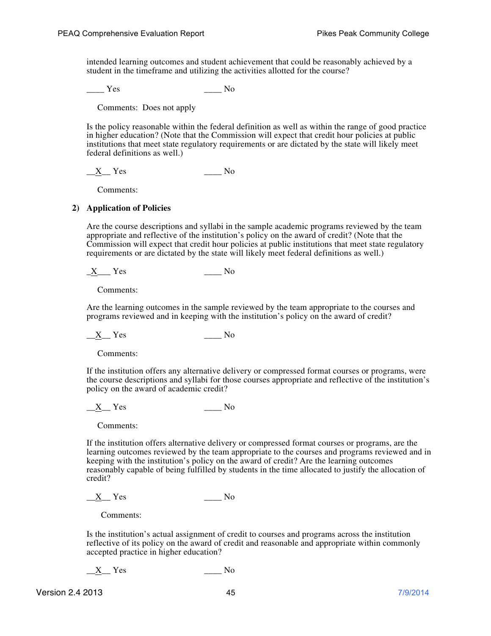intended learning outcomes and student achievement that could be reasonably achieved by a student in the timeframe and utilizing the activities allotted for the course?

Yes No

Comments: Does not apply

Is the policy reasonable within the federal definition as well as within the range of good practice in higher education? (Note that the Commission will expect that credit hour policies at public institutions that meet state regulatory requirements or are dictated by the state will likely meet federal definitions as well.)

 $X$  Yes No

Comments:

### **2) Application of Policies**

Are the course descriptions and syllabi in the sample academic programs reviewed by the team appropriate and reflective of the institution's policy on the award of credit? (Note that the Commission will expect that credit hour policies at public institutions that meet state regulatory requirements or are dictated by the state will likely meet federal definitions as well.)

 $X$  Yes No

Comments:

Are the learning outcomes in the sample reviewed by the team appropriate to the courses and programs reviewed and in keeping with the institution's policy on the award of credit?

 $X_{\text{max}}$  Yes  $\text{max}$  No

Comments:

If the institution offers any alternative delivery or compressed format courses or programs, were the course descriptions and syllabi for those courses appropriate and reflective of the institution's policy on the award of academic credit?

 $X$  Yes  $N_o$ 

Comments:

If the institution offers alternative delivery or compressed format courses or programs, are the learning outcomes reviewed by the team appropriate to the courses and programs reviewed and in keeping with the institution's policy on the award of credit? Are the learning outcomes reasonably capable of being fulfilled by students in the time allocated to justify the allocation of credit?

 $X$  Yes  $N<sub>0</sub>$ 

Comments:

Is the institution's actual assignment of credit to courses and programs across the institution reflective of its policy on the award of credit and reasonable and appropriate within commonly accepted practice in higher education?

 $X$  Yes No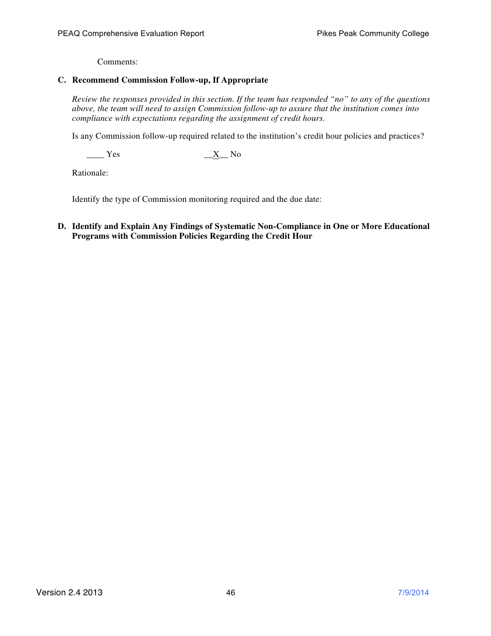### **C. Recommend Commission Follow-up, If Appropriate**

*Review the responses provided in this section. If the team has responded "no" to any of the questions above, the team will need to assign Commission follow-up to assure that the institution comes into compliance with expectations regarding the assignment of credit hours.*

Is any Commission follow-up required related to the institution's credit hour policies and practices?

 $\frac{X}{X}$  Yes  $\frac{X}{X}$  No

Rationale:

Identify the type of Commission monitoring required and the due date:

**D. Identify and Explain Any Findings of Systematic Non-Compliance in One or More Educational Programs with Commission Policies Regarding the Credit Hour**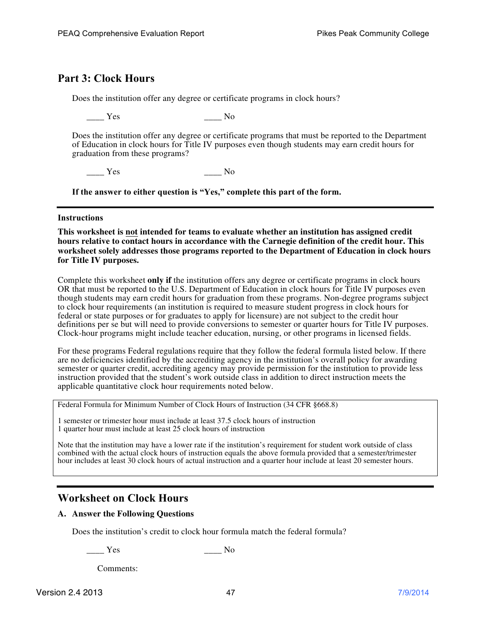# **Part 3: Clock Hours**

Does the institution offer any degree or certificate programs in clock hours?

Yes No

Does the institution offer any degree or certificate programs that must be reported to the Department of Education in clock hours for Title IV purposes even though students may earn credit hours for graduation from these programs?

\_\_\_\_ Yes \_\_\_\_ No

**If the answer to either question is "Yes," complete this part of the form.**

### **Instructions**

**This worksheet is not intended for teams to evaluate whether an institution has assigned credit hours relative to contact hours in accordance with the Carnegie definition of the credit hour. This worksheet solely addresses those programs reported to the Department of Education in clock hours for Title IV purposes.** 

Complete this worksheet **only if** the institution offers any degree or certificate programs in clock hours OR that must be reported to the U.S. Department of Education in clock hours for Title IV purposes even though students may earn credit hours for graduation from these programs. Non-degree programs subject to clock hour requirements (an institution is required to measure student progress in clock hours for federal or state purposes or for graduates to apply for licensure) are not subject to the credit hour definitions per se but will need to provide conversions to semester or quarter hours for Title IV purposes. Clock-hour programs might include teacher education, nursing, or other programs in licensed fields.

For these programs Federal regulations require that they follow the federal formula listed below. If there are no deficiencies identified by the accrediting agency in the institution's overall policy for awarding semester or quarter credit, accrediting agency may provide permission for the institution to provide less instruction provided that the student's work outside class in addition to direct instruction meets the applicable quantitative clock hour requirements noted below.

Federal Formula for Minimum Number of Clock Hours of Instruction (34 CFR §668.8)

1 semester or trimester hour must include at least 37.5 clock hours of instruction 1 quarter hour must include at least 25 clock hours of instruction

Note that the institution may have a lower rate if the institution's requirement for student work outside of class combined with the actual clock hours of instruction equals the above formula provided that a semester/trimester hour includes at least 30 clock hours of actual instruction and a quarter hour include at least 20 semester hours.

# **Worksheet on Clock Hours**

### **A. Answer the Following Questions**

Does the institution's credit to clock hour formula match the federal formula?

 $\frac{1}{\sqrt{1-\frac{1}{\sqrt{1-\frac{1}{\sqrt{1-\frac{1}{\sqrt{1-\frac{1}{\sqrt{1-\frac{1}{\sqrt{1-\frac{1}{\sqrt{1-\frac{1}{\sqrt{1-\frac{1}{\sqrt{1-\frac{1}{\sqrt{1-\frac{1}{\sqrt{1-\frac{1}{\sqrt{1-\frac{1}{\sqrt{1-\frac{1}{\sqrt{1-\frac{1}{\sqrt{1-\frac{1}{\sqrt{1-\frac{1}{\sqrt{1-\frac{1}{\sqrt{1-\frac{1}{\sqrt{1-\frac{1}{\sqrt{1-\frac{1}{\sqrt{1-\frac{1}{\sqrt{1-\frac{1}{\sqrt{1-\frac{1}{\sqrt{1-\frac{1$ 

Comments: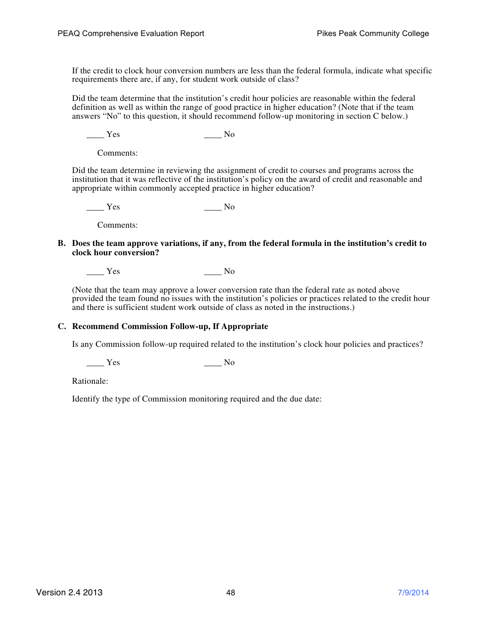If the credit to clock hour conversion numbers are less than the federal formula, indicate what specific requirements there are, if any, for student work outside of class?

Did the team determine that the institution's credit hour policies are reasonable within the federal definition as well as within the range of good practice in higher education? (Note that if the team answers "No" to this question, it should recommend follow-up monitoring in section C below.)

 $\frac{1}{\sqrt{1-\frac{1}{\sqrt{1-\frac{1}{\sqrt{1-\frac{1}{\sqrt{1-\frac{1}{\sqrt{1-\frac{1}{\sqrt{1-\frac{1}{\sqrt{1-\frac{1}{\sqrt{1-\frac{1}{\sqrt{1-\frac{1}{\sqrt{1-\frac{1}{\sqrt{1-\frac{1}{\sqrt{1-\frac{1}{\sqrt{1-\frac{1}{\sqrt{1-\frac{1}{\sqrt{1-\frac{1}{\sqrt{1-\frac{1}{\sqrt{1-\frac{1}{\sqrt{1-\frac{1}{\sqrt{1-\frac{1}{\sqrt{1-\frac{1}{\sqrt{1-\frac{1}{\sqrt{1-\frac{1}{\sqrt{1-\frac{1}{\sqrt{1-\frac{1$ 

Comments:

Did the team determine in reviewing the assignment of credit to courses and programs across the institution that it was reflective of the institution's policy on the award of credit and reasonable and appropriate within commonly accepted practice in higher education?

\_\_\_\_ Yes \_\_\_\_ No

Comments:

**B. Does the team approve variations, if any, from the federal formula in the institution's credit to clock hour conversion?** 

\_\_\_\_ Yes \_\_\_\_ No

(Note that the team may approve a lower conversion rate than the federal rate as noted above provided the team found no issues with the institution's policies or practices related to the credit hour and there is sufficient student work outside of class as noted in the instructions.)

### **C. Recommend Commission Follow-up, If Appropriate**

Is any Commission follow-up required related to the institution's clock hour policies and practices?

\_\_\_\_ Yes \_\_\_\_ No

Rationale:

Identify the type of Commission monitoring required and the due date: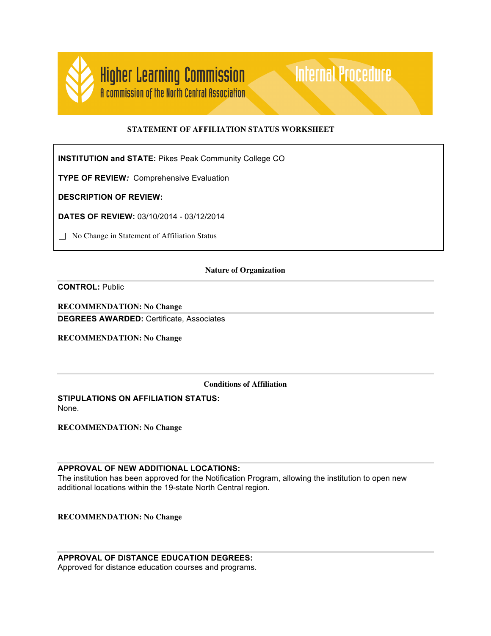

### **STATEMENT OF AFFILIATION STATUS WORKSHEET**

**Internal Procedure** 

**INSTITUTION and STATE:** Pikes Peak Community College CO

**TYPE OF REVIEW***:* Comprehensive Evaluation

**DESCRIPTION OF REVIEW:**

**DATES OF REVIEW:** 03/10/2014 - 03/12/2014

□ No Change in Statement of Affiliation Status

#### **Nature of Organization**

**CONTROL:** Public

**RECOMMENDATION: No Change DEGREES AWARDED:** Certificate, Associates

**RECOMMENDATION: No Change**

**Conditions of Affiliation**

**STIPULATIONS ON AFFILIATION STATUS:** None.

**RECOMMENDATION: No Change**

**APPROVAL OF NEW ADDITIONAL LOCATIONS:**

The institution has been approved for the Notification Program, allowing the institution to open new additional locations within the 19-state North Central region.

**RECOMMENDATION: No Change**

**APPROVAL OF DISTANCE EDUCATION DEGREES:** Approved for distance education courses and programs.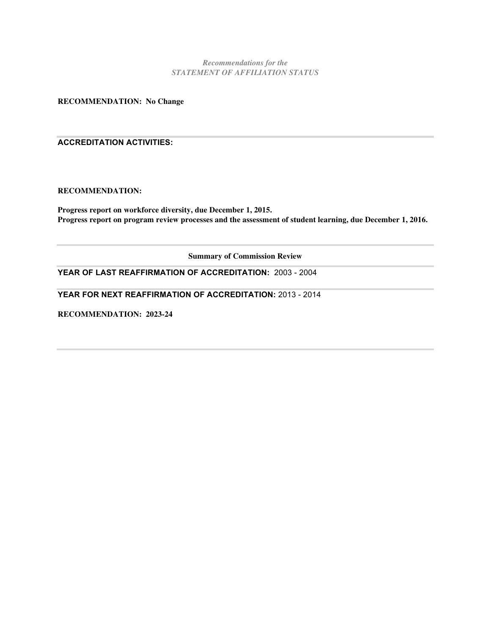*Recommendations for the STATEMENT OF AFFILIATION STATUS*

**RECOMMENDATION: No Change**

### **ACCREDITATION ACTIVITIES:**

### **RECOMMENDATION:**

**Progress report on workforce diversity, due December 1, 2015. Progress report on program review processes and the assessment of student learning, due December 1, 2016.**

**Summary of Commission Review**

**YEAR OF LAST REAFFIRMATION OF ACCREDITATION:** 2003 - 2004

**YEAR FOR NEXT REAFFIRMATION OF ACCREDITATION:** 2013 - 2014

**RECOMMENDATION: 2023-24**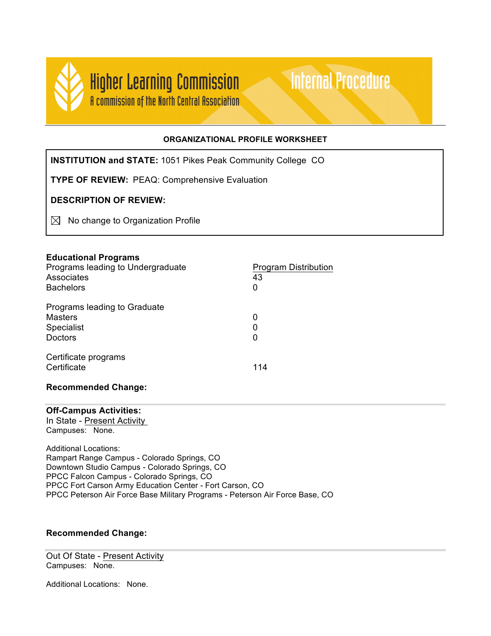

### **ORGANIZATIONAL PROFILE WORKSHEET**

**Internal Procedure** 

**INSTITUTION and STATE:** 1051 Pikes Peak Community College CO

**TYPE OF REVIEW:** PEAQ: Comprehensive Evaluation

# **DESCRIPTION OF REVIEW:**

 $\boxtimes$  No change to Organization Profile

### **Educational Programs**

| Programs leading to Undergraduate<br>Associates<br><b>Bachelors</b> | <b>Program Distribution</b><br>43<br>0 |
|---------------------------------------------------------------------|----------------------------------------|
| Programs leading to Graduate<br>Masters<br>Specialist<br>Doctors    | 0<br>0<br>0                            |
| Certificate programs<br>Certificate                                 | 114                                    |

### **Recommended Change:**

### **Off-Campus Activities:**

In State - Present Activity Campuses: None.

Additional Locations: Rampart Range Campus - Colorado Springs, CO Downtown Studio Campus - Colorado Springs, CO PPCC Falcon Campus - Colorado Springs, CO PPCC Fort Carson Army Education Center - Fort Carson, CO PPCC Peterson Air Force Base Military Programs - Peterson Air Force Base, CO

# **Recommended Change:**

Out Of State - Present Activity Campuses: None.

Additional Locations: None.